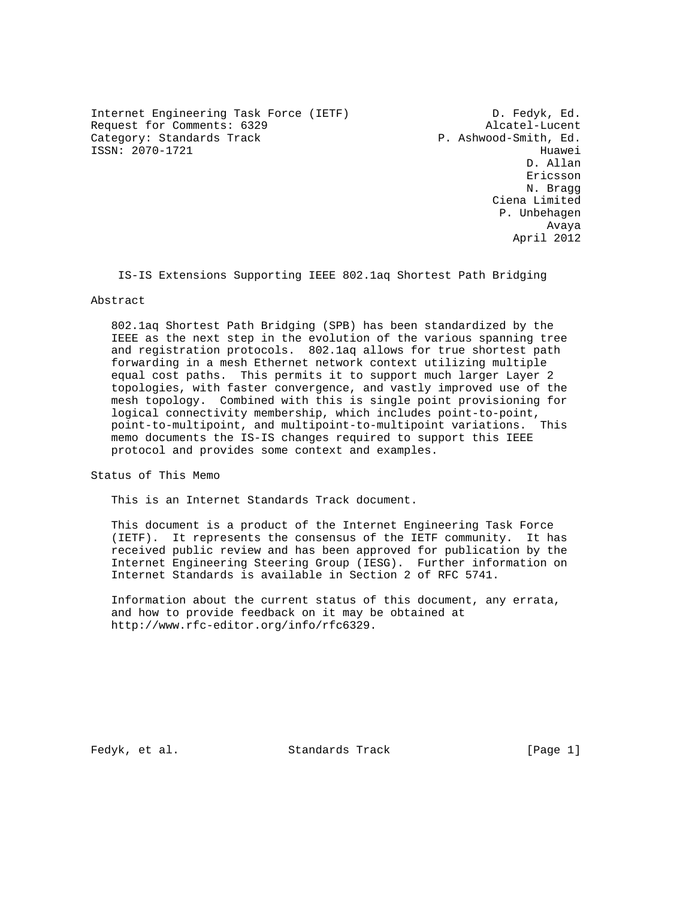Internet Engineering Task Force (IETF) D. Fedyk, Ed. Request for Comments: 6329 Alcatel-Lucent<br>Category: Standards Track (Department of the P. Ashwood-Smith, Ed. Category: Standards Track ISSN: 2070-1721 Huawei

 D. Allan Ericsson N. Bragg Ciena Limited P. Unbehagen Avaya April 2012

IS-IS Extensions Supporting IEEE 802.1aq Shortest Path Bridging

#### Abstract

 802.1aq Shortest Path Bridging (SPB) has been standardized by the IEEE as the next step in the evolution of the various spanning tree and registration protocols. 802.1aq allows for true shortest path forwarding in a mesh Ethernet network context utilizing multiple equal cost paths. This permits it to support much larger Layer 2 topologies, with faster convergence, and vastly improved use of the mesh topology. Combined with this is single point provisioning for logical connectivity membership, which includes point-to-point, point-to-multipoint, and multipoint-to-multipoint variations. This memo documents the IS-IS changes required to support this IEEE protocol and provides some context and examples.

Status of This Memo

This is an Internet Standards Track document.

 This document is a product of the Internet Engineering Task Force (IETF). It represents the consensus of the IETF community. It has received public review and has been approved for publication by the Internet Engineering Steering Group (IESG). Further information on Internet Standards is available in Section 2 of RFC 5741.

 Information about the current status of this document, any errata, and how to provide feedback on it may be obtained at http://www.rfc-editor.org/info/rfc6329.

Fedyk, et al. Standards Track [Page 1]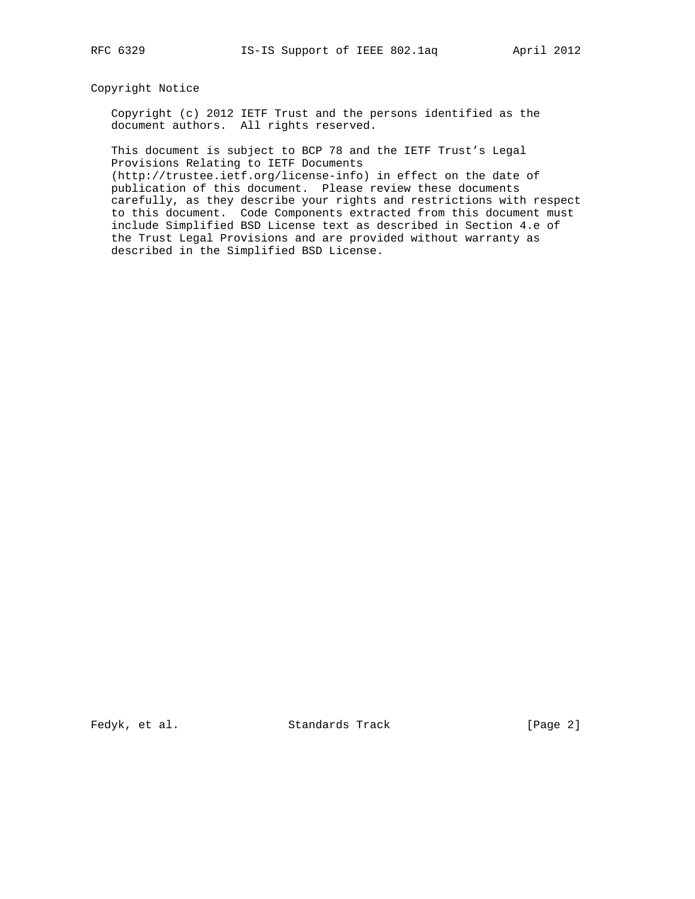## Copyright Notice

 Copyright (c) 2012 IETF Trust and the persons identified as the document authors. All rights reserved.

 This document is subject to BCP 78 and the IETF Trust's Legal Provisions Relating to IETF Documents

 (http://trustee.ietf.org/license-info) in effect on the date of publication of this document. Please review these documents carefully, as they describe your rights and restrictions with respect to this document. Code Components extracted from this document must include Simplified BSD License text as described in Section 4.e of the Trust Legal Provisions and are provided without warranty as described in the Simplified BSD License.

Fedyk, et al. Standards Track [Page 2]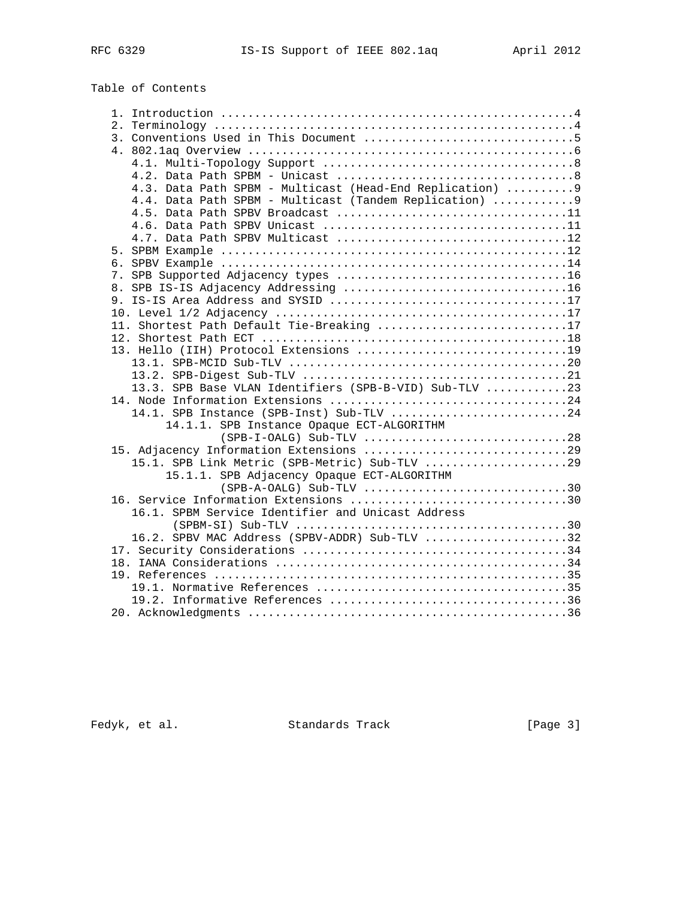# Table of Contents

| 4.3. Data Path SPBM - Multicast (Head-End Replication)  9 |
|-----------------------------------------------------------|
| 4.4. Data Path SPBM - Multicast (Tandem Replication)  9   |
|                                                           |
|                                                           |
|                                                           |
|                                                           |
|                                                           |
|                                                           |
|                                                           |
|                                                           |
|                                                           |
| 11. Shortest Path Default Tie-Breaking 17                 |
|                                                           |
|                                                           |
|                                                           |
|                                                           |
| 13.3. SPB Base VLAN Identifiers (SPB-B-VID) Sub-TLV 23    |
|                                                           |
| 14.1. SPB Instance (SPB-Inst) Sub-TLV 24                  |
| 14.1.1. SPB Instance Opaque ECT-ALGORITHM                 |
|                                                           |
|                                                           |
| 15.1. SPB Link Metric (SPB-Metric) Sub-TLV 29             |
| 15.1.1. SPB Adjacency Opaque ECT-ALGORITHM                |
|                                                           |
| 16. Service Information Extensions 30                     |
| 16.1. SPBM Service Identifier and Unicast Address         |
|                                                           |
| 16.2. SPBV MAC Address (SPBV-ADDR) Sub-TLV 32             |
|                                                           |
|                                                           |
|                                                           |
|                                                           |
|                                                           |
|                                                           |

Fedyk, et al. Standards Track [Page 3]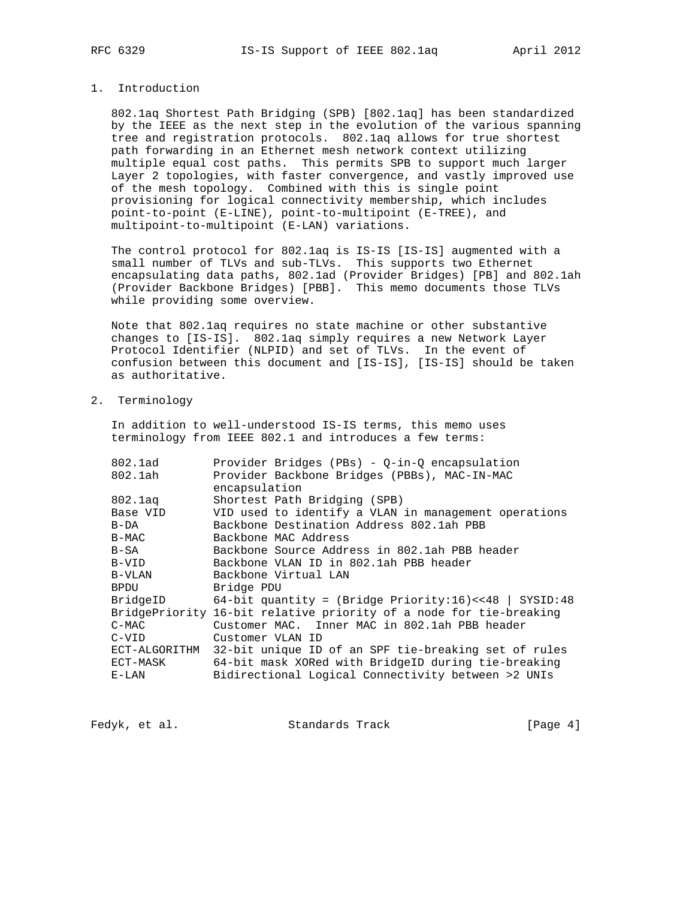## 1. Introduction

 802.1aq Shortest Path Bridging (SPB) [802.1aq] has been standardized by the IEEE as the next step in the evolution of the various spanning tree and registration protocols. 802.1aq allows for true shortest path forwarding in an Ethernet mesh network context utilizing multiple equal cost paths. This permits SPB to support much larger Layer 2 topologies, with faster convergence, and vastly improved use of the mesh topology. Combined with this is single point provisioning for logical connectivity membership, which includes point-to-point (E-LINE), point-to-multipoint (E-TREE), and multipoint-to-multipoint (E-LAN) variations.

 The control protocol for 802.1aq is IS-IS [IS-IS] augmented with a small number of TLVs and sub-TLVs. This supports two Ethernet encapsulating data paths, 802.1ad (Provider Bridges) [PB] and 802.1ah (Provider Backbone Bridges) [PBB]. This memo documents those TLVs while providing some overview.

 Note that 802.1aq requires no state machine or other substantive changes to [IS-IS]. 802.1aq simply requires a new Network Layer Protocol Identifier (NLPID) and set of TLVs. In the event of confusion between this document and [IS-IS], [IS-IS] should be taken as authoritative.

2. Terminology

 In addition to well-understood IS-IS terms, this memo uses terminology from IEEE 802.1 and introduces a few terms:

| 802.1ad       | Provider Bridges (PBs) - 0-in-0 encapsulation                      |
|---------------|--------------------------------------------------------------------|
| 802.1ah       | Provider Backbone Bridges (PBBs), MAC-IN-MAC                       |
|               | encapsulation                                                      |
| 802.1aq       | Shortest Path Bridging (SPB)                                       |
| Base VID      | VID used to identify a VLAN in management operations               |
| B-DA          | Backbone Destination Address 802.1ah PBB                           |
| $B-MAC$       | Backbone MAC Address                                               |
| B-SA          | Backbone Source Address in 802.1ah PBB header                      |
| B-VID         | Backbone VLAN ID in 802.1ah PBB header                             |
| B-VLAN        | Backbone Virtual LAN                                               |
| BPDU          | Bridge PDU                                                         |
| BridgeID      | 64-bit quantity = (Bridge Priority:16) << 48   SYSID:48            |
|               | BridgePriority 16-bit relative priority of a node for tie-breaking |
| $C-MAC$       | Customer MAC. Inner MAC in 802.1ah PBB header                      |
| $C-VID$       | Customer VLAN ID                                                   |
| ECT-ALGORITHM | 32-bit unique ID of an SPF tie-breaking set of rules               |
| ECT-MASK      | 64-bit mask XORed with BridgeID during tie-breaking                |
| E-LAN         | Bidirectional Logical Connectivity between >2 UNIs                 |
|               |                                                                    |

Fedyk, et al. Standards Track [Page 4]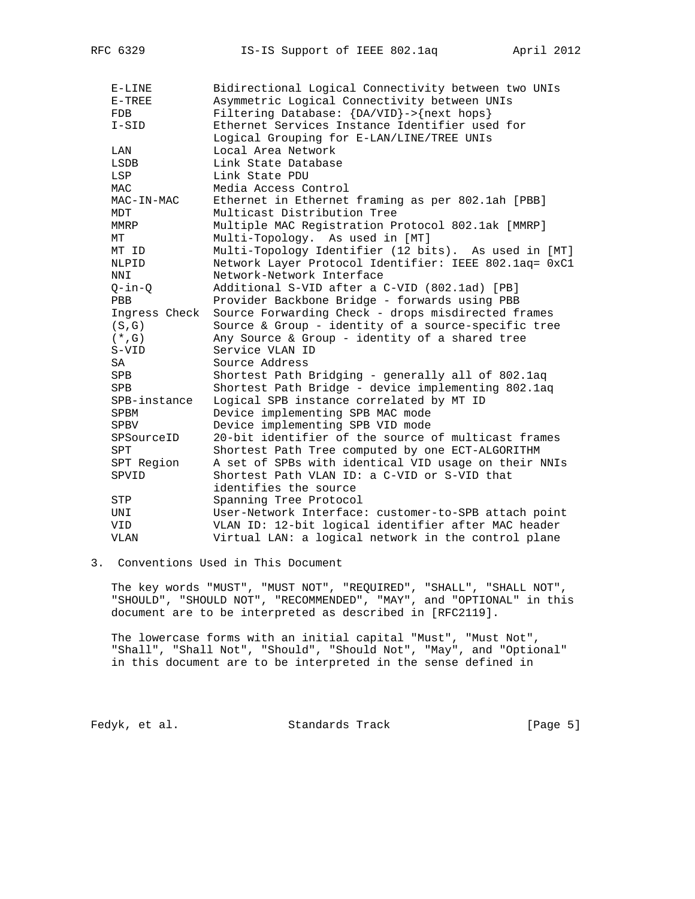| $E-LINE$      | Bidirectional Logical Connectivity between two UNIs         |
|---------------|-------------------------------------------------------------|
| $E-TRUEE$     | Asymmetric Logical Connectivity between UNIs                |
| <b>FDB</b>    | Filtering Database: $\{DA/VID\} \rightarrow \{next\ hops\}$ |
| $I-SID$       | Ethernet Services Instance Identifier used for              |
|               | Logical Grouping for E-LAN/LINE/TREE UNIs                   |
| LAN           | Local Area Network                                          |
| LSDB          | Link State Database                                         |
| LSP           | Link State PDU                                              |
| <b>MAC</b>    | Media Access Control                                        |
| MAC-IN-MAC    | Ethernet in Ethernet framing as per 802.1ah [PBB]           |
| MDT           | Multicast Distribution Tree                                 |
| MMRP          | Multiple MAC Registration Protocol 802.1ak [MMRP]           |
| МT            | Multi-Topology. As used in [MT]                             |
| MT ID         | Multi-Topology Identifier (12 bits). As used in [MT]        |
| NLPID         | Network Layer Protocol Identifier: IEEE 802.1aq= 0xC1       |
| NNI           | Network-Network Interface                                   |
| $Q$ -in- $Q$  | Additional S-VID after a C-VID (802.1ad) [PB]               |
| PBB           | Provider Backbone Bridge - forwards using PBB               |
| Ingress Check | Source Forwarding Check - drops misdirected frames          |
| (S,G)         | Source & Group - identity of a source-specific tree         |
| $(*$ , G)     | Any Source & Group - identity of a shared tree              |
| S-VID         | Service VLAN ID                                             |
| SA            | Source Address                                              |
| SPB           | Shortest Path Bridging - generally all of 802.1aq           |
| SPB           | Shortest Path Bridge - device implementing 802.1aq          |
| SPB-instance  | Logical SPB instance correlated by MT ID                    |
| SPBM          | Device implementing SPB MAC mode                            |
| SPBV          | Device implementing SPB VID mode                            |
| SPSourceID    | 20-bit identifier of the source of multicast frames         |
| SPT           | Shortest Path Tree computed by one ECT-ALGORITHM            |
| SPT Region    | A set of SPBs with identical VID usage on their NNIs        |
| SPVID         | Shortest Path VLAN ID: a C-VID or S-VID that                |
|               | identifies the source                                       |
| STP           | Spanning Tree Protocol                                      |
| UNI           | User-Network Interface: customer-to-SPB attach point        |
| VID           | VLAN ID: 12-bit logical identifier after MAC header         |
| <b>VLAN</b>   | Virtual LAN: a logical network in the control plane         |

## 3. Conventions Used in This Document

 The key words "MUST", "MUST NOT", "REQUIRED", "SHALL", "SHALL NOT", "SHOULD", "SHOULD NOT", "RECOMMENDED", "MAY", and "OPTIONAL" in this document are to be interpreted as described in [RFC2119].

 The lowercase forms with an initial capital "Must", "Must Not", "Shall", "Shall Not", "Should", "Should Not", "May", and "Optional" in this document are to be interpreted in the sense defined in

Fedyk, et al. Standards Track [Page 5]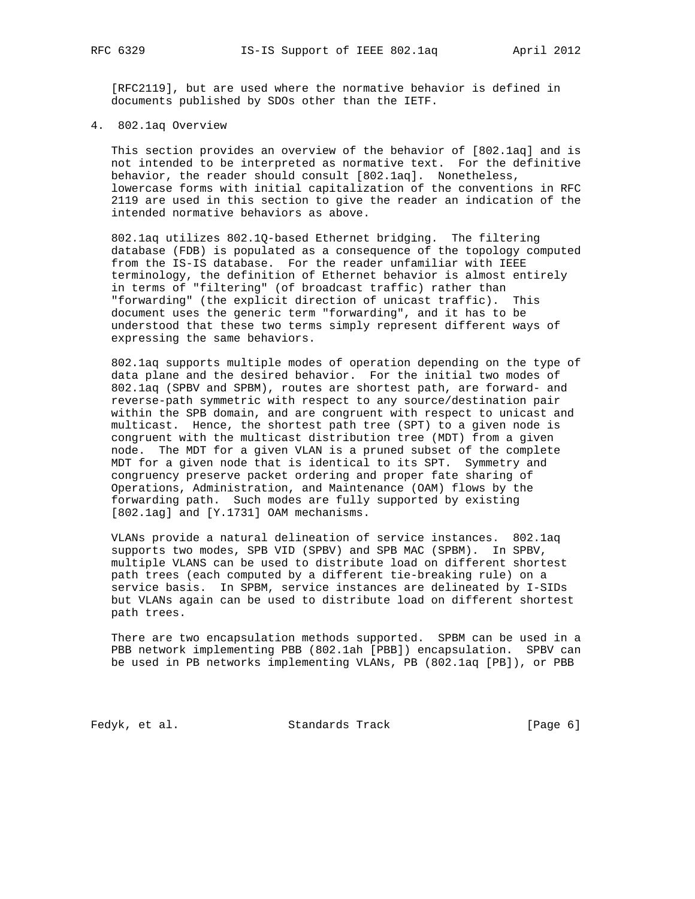[RFC2119], but are used where the normative behavior is defined in documents published by SDOs other than the IETF.

4. 802.1aq Overview

 This section provides an overview of the behavior of [802.1aq] and is not intended to be interpreted as normative text. For the definitive behavior, the reader should consult [802.1aq]. Nonetheless, lowercase forms with initial capitalization of the conventions in RFC 2119 are used in this section to give the reader an indication of the intended normative behaviors as above.

 802.1aq utilizes 802.1Q-based Ethernet bridging. The filtering database (FDB) is populated as a consequence of the topology computed from the IS-IS database. For the reader unfamiliar with IEEE terminology, the definition of Ethernet behavior is almost entirely in terms of "filtering" (of broadcast traffic) rather than "forwarding" (the explicit direction of unicast traffic). This document uses the generic term "forwarding", and it has to be understood that these two terms simply represent different ways of expressing the same behaviors.

 802.1aq supports multiple modes of operation depending on the type of data plane and the desired behavior. For the initial two modes of 802.1aq (SPBV and SPBM), routes are shortest path, are forward- and reverse-path symmetric with respect to any source/destination pair within the SPB domain, and are congruent with respect to unicast and multicast. Hence, the shortest path tree (SPT) to a given node is congruent with the multicast distribution tree (MDT) from a given node. The MDT for a given VLAN is a pruned subset of the complete MDT for a given node that is identical to its SPT. Symmetry and congruency preserve packet ordering and proper fate sharing of Operations, Administration, and Maintenance (OAM) flows by the forwarding path. Such modes are fully supported by existing [802.1ag] and [Y.1731] OAM mechanisms.

 VLANs provide a natural delineation of service instances. 802.1aq supports two modes, SPB VID (SPBV) and SPB MAC (SPBM). In SPBV, multiple VLANS can be used to distribute load on different shortest path trees (each computed by a different tie-breaking rule) on a service basis. In SPBM, service instances are delineated by I-SIDs but VLANs again can be used to distribute load on different shortest path trees.

 There are two encapsulation methods supported. SPBM can be used in a PBB network implementing PBB (802.1ah [PBB]) encapsulation. SPBV can be used in PB networks implementing VLANs, PB (802.1aq [PB]), or PBB

Fedyk, et al. Standards Track [Page 6]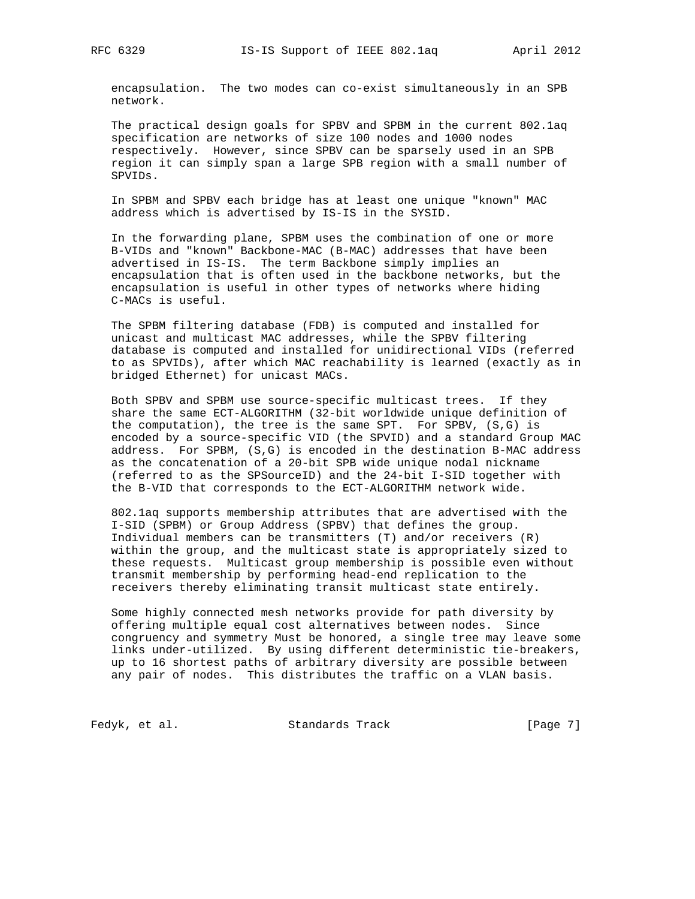encapsulation. The two modes can co-exist simultaneously in an SPB network.

 The practical design goals for SPBV and SPBM in the current 802.1aq specification are networks of size 100 nodes and 1000 nodes respectively. However, since SPBV can be sparsely used in an SPB region it can simply span a large SPB region with a small number of SPVIDs.

 In SPBM and SPBV each bridge has at least one unique "known" MAC address which is advertised by IS-IS in the SYSID.

 In the forwarding plane, SPBM uses the combination of one or more B-VIDs and "known" Backbone-MAC (B-MAC) addresses that have been advertised in IS-IS. The term Backbone simply implies an encapsulation that is often used in the backbone networks, but the encapsulation is useful in other types of networks where hiding C-MACs is useful.

 The SPBM filtering database (FDB) is computed and installed for unicast and multicast MAC addresses, while the SPBV filtering database is computed and installed for unidirectional VIDs (referred to as SPVIDs), after which MAC reachability is learned (exactly as in bridged Ethernet) for unicast MACs.

 Both SPBV and SPBM use source-specific multicast trees. If they share the same ECT-ALGORITHM (32-bit worldwide unique definition of the computation), the tree is the same SPT. For SPBV, (S,G) is encoded by a source-specific VID (the SPVID) and a standard Group MAC address. For SPBM, (S,G) is encoded in the destination B-MAC address as the concatenation of a 20-bit SPB wide unique nodal nickname (referred to as the SPSourceID) and the 24-bit I-SID together with the B-VID that corresponds to the ECT-ALGORITHM network wide.

 802.1aq supports membership attributes that are advertised with the I-SID (SPBM) or Group Address (SPBV) that defines the group. Individual members can be transmitters (T) and/or receivers (R) within the group, and the multicast state is appropriately sized to these requests. Multicast group membership is possible even without transmit membership by performing head-end replication to the receivers thereby eliminating transit multicast state entirely.

 Some highly connected mesh networks provide for path diversity by offering multiple equal cost alternatives between nodes. Since congruency and symmetry Must be honored, a single tree may leave some links under-utilized. By using different deterministic tie-breakers, up to 16 shortest paths of arbitrary diversity are possible between any pair of nodes. This distributes the traffic on a VLAN basis.

Fedyk, et al. Standards Track [Page 7]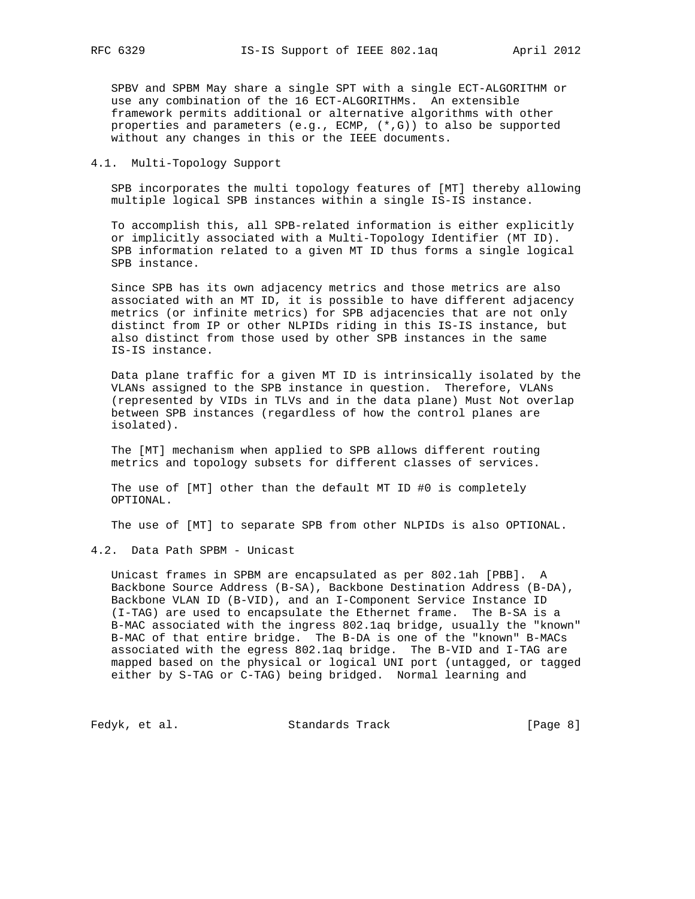SPBV and SPBM May share a single SPT with a single ECT-ALGORITHM or use any combination of the 16 ECT-ALGORITHMs. An extensible framework permits additional or alternative algorithms with other properties and parameters (e.g., ECMP, (\*,G)) to also be supported without any changes in this or the IEEE documents.

#### 4.1. Multi-Topology Support

 SPB incorporates the multi topology features of [MT] thereby allowing multiple logical SPB instances within a single IS-IS instance.

 To accomplish this, all SPB-related information is either explicitly or implicitly associated with a Multi-Topology Identifier (MT ID). SPB information related to a given MT ID thus forms a single logical SPB instance.

 Since SPB has its own adjacency metrics and those metrics are also associated with an MT ID, it is possible to have different adjacency metrics (or infinite metrics) for SPB adjacencies that are not only distinct from IP or other NLPIDs riding in this IS-IS instance, but also distinct from those used by other SPB instances in the same IS-IS instance.

 Data plane traffic for a given MT ID is intrinsically isolated by the VLANs assigned to the SPB instance in question. Therefore, VLANs (represented by VIDs in TLVs and in the data plane) Must Not overlap between SPB instances (regardless of how the control planes are isolated).

 The [MT] mechanism when applied to SPB allows different routing metrics and topology subsets for different classes of services.

 The use of [MT] other than the default MT ID #0 is completely OPTIONAL.

The use of [MT] to separate SPB from other NLPIDs is also OPTIONAL.

#### 4.2. Data Path SPBM - Unicast

 Unicast frames in SPBM are encapsulated as per 802.1ah [PBB]. A Backbone Source Address (B-SA), Backbone Destination Address (B-DA), Backbone VLAN ID (B-VID), and an I-Component Service Instance ID (I-TAG) are used to encapsulate the Ethernet frame. The B-SA is a B-MAC associated with the ingress 802.1aq bridge, usually the "known" B-MAC of that entire bridge. The B-DA is one of the "known" B-MACs associated with the egress 802.1aq bridge. The B-VID and I-TAG are mapped based on the physical or logical UNI port (untagged, or tagged either by S-TAG or C-TAG) being bridged. Normal learning and

Fedyk, et al. Standards Track [Page 8]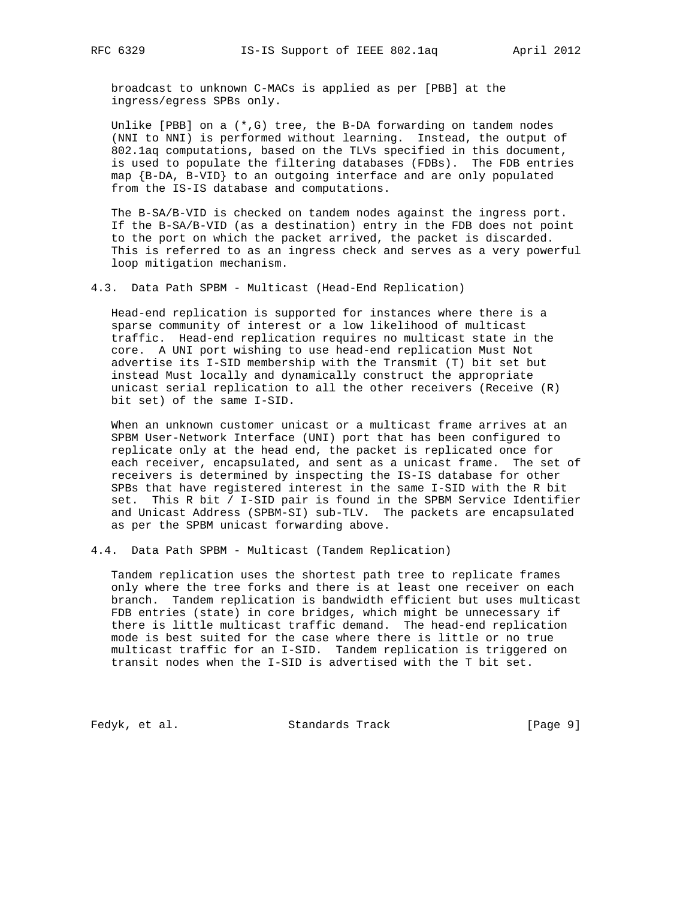broadcast to unknown C-MACs is applied as per [PBB] at the ingress/egress SPBs only.

 Unlike [PBB] on a (\*,G) tree, the B-DA forwarding on tandem nodes (NNI to NNI) is performed without learning. Instead, the output of 802.1aq computations, based on the TLVs specified in this document, is used to populate the filtering databases (FDBs). The FDB entries map {B-DA, B-VID} to an outgoing interface and are only populated from the IS-IS database and computations.

 The B-SA/B-VID is checked on tandem nodes against the ingress port. If the B-SA/B-VID (as a destination) entry in the FDB does not point to the port on which the packet arrived, the packet is discarded. This is referred to as an ingress check and serves as a very powerful loop mitigation mechanism.

4.3. Data Path SPBM - Multicast (Head-End Replication)

 Head-end replication is supported for instances where there is a sparse community of interest or a low likelihood of multicast traffic. Head-end replication requires no multicast state in the core. A UNI port wishing to use head-end replication Must Not advertise its I-SID membership with the Transmit (T) bit set but instead Must locally and dynamically construct the appropriate unicast serial replication to all the other receivers (Receive (R) bit set) of the same I-SID.

 When an unknown customer unicast or a multicast frame arrives at an SPBM User-Network Interface (UNI) port that has been configured to replicate only at the head end, the packet is replicated once for each receiver, encapsulated, and sent as a unicast frame. The set of receivers is determined by inspecting the IS-IS database for other SPBs that have registered interest in the same I-SID with the R bit set. This R bit / I-SID pair is found in the SPBM Service Identifier and Unicast Address (SPBM-SI) sub-TLV. The packets are encapsulated as per the SPBM unicast forwarding above.

4.4. Data Path SPBM - Multicast (Tandem Replication)

 Tandem replication uses the shortest path tree to replicate frames only where the tree forks and there is at least one receiver on each branch. Tandem replication is bandwidth efficient but uses multicast FDB entries (state) in core bridges, which might be unnecessary if there is little multicast traffic demand. The head-end replication mode is best suited for the case where there is little or no true multicast traffic for an I-SID. Tandem replication is triggered on transit nodes when the I-SID is advertised with the T bit set.

Fedyk, et al. Standards Track [Page 9]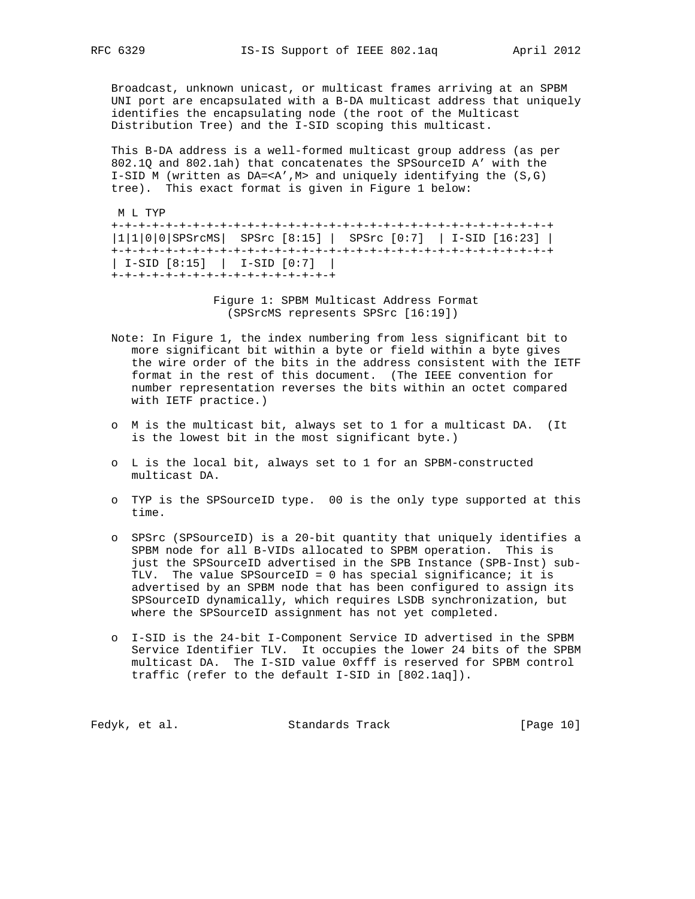Broadcast, unknown unicast, or multicast frames arriving at an SPBM UNI port are encapsulated with a B-DA multicast address that uniquely identifies the encapsulating node (the root of the Multicast Distribution Tree) and the I-SID scoping this multicast.

 This B-DA address is a well-formed multicast group address (as per 802.1Q and 802.1ah) that concatenates the SPSourceID A' with the I-SID M (written as DA=<A',M> and uniquely identifying the (S,G) tree). This exact format is given in Figure 1 below:

M L TYP

 +-+-+-+-+-+-+-+-+-+-+-+-+-+-+-+-+-+-+-+-+-+-+-+-+-+-+-+-+-+-+-+-+ |1|1|0|0|SPSrcMS| SPSrc [8:15] | SPSrc [0:7] | I-SID [16:23] | +-+-+-+-+-+-+-+-+-+-+-+-+-+-+-+-+-+-+-+-+-+-+-+-+-+-+-+-+-+-+-+-+ | I-SID [8:15] | I-SID [0:7] | +-+-+-+-+-+-+-+-+-+-+-+-+-+-+-+-+

> Figure 1: SPBM Multicast Address Format (SPSrcMS represents SPSrc [16:19])

- Note: In Figure 1, the index numbering from less significant bit to more significant bit within a byte or field within a byte gives the wire order of the bits in the address consistent with the IETF format in the rest of this document. (The IEEE convention for number representation reverses the bits within an octet compared with IETF practice.)
- o M is the multicast bit, always set to 1 for a multicast DA. (It is the lowest bit in the most significant byte.)
- o L is the local bit, always set to 1 for an SPBM-constructed multicast DA.
- o TYP is the SPSourceID type. 00 is the only type supported at this time.
- o SPSrc (SPSourceID) is a 20-bit quantity that uniquely identifies a SPBM node for all B-VIDs allocated to SPBM operation. This is just the SPSourceID advertised in the SPB Instance (SPB-Inst) sub- TLV. The value SPSourceID = 0 has special significance; it is advertised by an SPBM node that has been configured to assign its SPSourceID dynamically, which requires LSDB synchronization, but where the SPSourceID assignment has not yet completed.
- o I-SID is the 24-bit I-Component Service ID advertised in the SPBM Service Identifier TLV. It occupies the lower 24 bits of the SPBM multicast DA. The I-SID value 0xfff is reserved for SPBM control traffic (refer to the default I-SID in [802.1aq]).

| Fedyk, et al.<br>Standards Track | [Page 10] |
|----------------------------------|-----------|
|----------------------------------|-----------|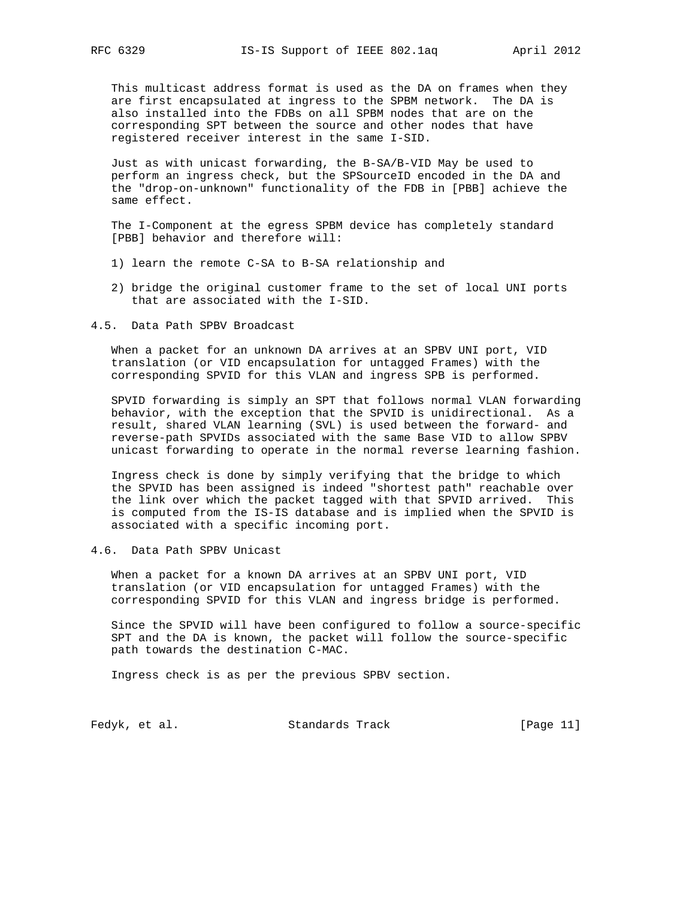This multicast address format is used as the DA on frames when they are first encapsulated at ingress to the SPBM network. The DA is also installed into the FDBs on all SPBM nodes that are on the corresponding SPT between the source and other nodes that have registered receiver interest in the same I-SID.

 Just as with unicast forwarding, the B-SA/B-VID May be used to perform an ingress check, but the SPSourceID encoded in the DA and the "drop-on-unknown" functionality of the FDB in [PBB] achieve the same effect.

 The I-Component at the egress SPBM device has completely standard [PBB] behavior and therefore will:

- 1) learn the remote C-SA to B-SA relationship and
- 2) bridge the original customer frame to the set of local UNI ports that are associated with the I-SID.

4.5. Data Path SPBV Broadcast

 When a packet for an unknown DA arrives at an SPBV UNI port, VID translation (or VID encapsulation for untagged Frames) with the corresponding SPVID for this VLAN and ingress SPB is performed.

 SPVID forwarding is simply an SPT that follows normal VLAN forwarding behavior, with the exception that the SPVID is unidirectional. As a result, shared VLAN learning (SVL) is used between the forward- and reverse-path SPVIDs associated with the same Base VID to allow SPBV unicast forwarding to operate in the normal reverse learning fashion.

 Ingress check is done by simply verifying that the bridge to which the SPVID has been assigned is indeed "shortest path" reachable over the link over which the packet tagged with that SPVID arrived. This is computed from the IS-IS database and is implied when the SPVID is associated with a specific incoming port.

4.6. Data Path SPBV Unicast

 When a packet for a known DA arrives at an SPBV UNI port, VID translation (or VID encapsulation for untagged Frames) with the corresponding SPVID for this VLAN and ingress bridge is performed.

 Since the SPVID will have been configured to follow a source-specific SPT and the DA is known, the packet will follow the source-specific path towards the destination C-MAC.

Ingress check is as per the previous SPBV section.

Fedyk, et al. Standards Track [Page 11]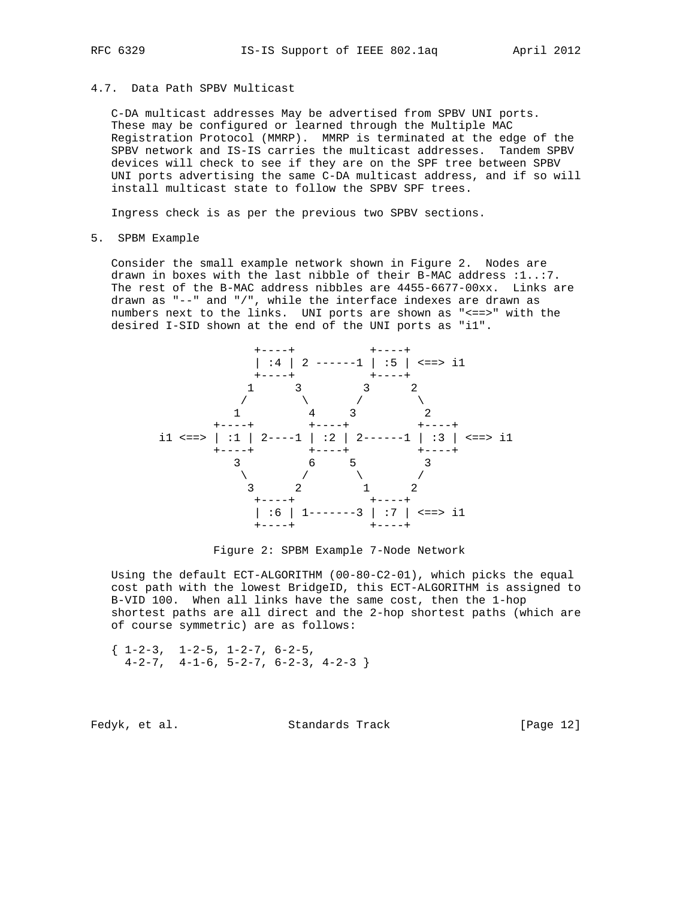## 4.7. Data Path SPBV Multicast

 C-DA multicast addresses May be advertised from SPBV UNI ports. These may be configured or learned through the Multiple MAC Registration Protocol (MMRP). MMRP is terminated at the edge of the SPBV network and IS-IS carries the multicast addresses. Tandem SPBV devices will check to see if they are on the SPF tree between SPBV UNI ports advertising the same C-DA multicast address, and if so will install multicast state to follow the SPBV SPF trees.

Ingress check is as per the previous two SPBV sections.

#### 5. SPBM Example

 Consider the small example network shown in Figure 2. Nodes are drawn in boxes with the last nibble of their B-MAC address :1..:7. The rest of the B-MAC address nibbles are 4455-6677-00xx. Links are drawn as "--" and "/", while the interface indexes are drawn as numbers next to the links. UNI ports are shown as "<==>" with the desired I-SID shown at the end of the UNI ports as "i1".



Figure 2: SPBM Example 7-Node Network

 Using the default ECT-ALGORITHM (00-80-C2-01), which picks the equal cost path with the lowest BridgeID, this ECT-ALGORITHM is assigned to B-VID 100. When all links have the same cost, then the 1-hop shortest paths are all direct and the 2-hop shortest paths (which are of course symmetric) are as follows:

 $\{ 1-2-3, 1-2-5, 1-2-7, 6-2-5,$  $4-2-7$ ,  $4-1-6$ ,  $5-2-7$ ,  $6-2-3$ ,  $4-2-3$ 

Fedyk, et al. Standards Track [Page 12]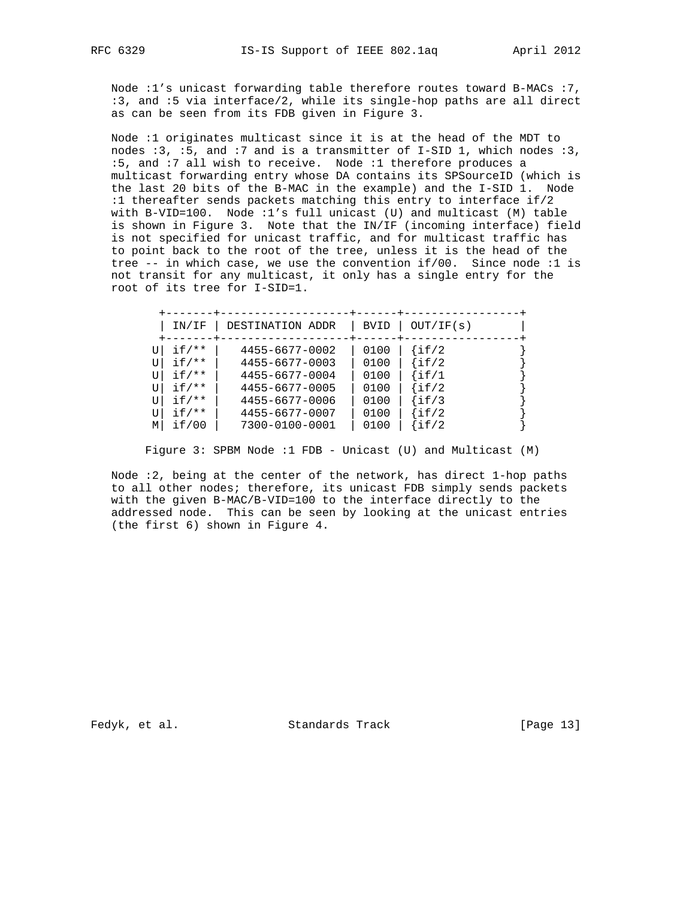Node :1's unicast forwarding table therefore routes toward B-MACs :7, :3, and :5 via interface/2, while its single-hop paths are all direct as can be seen from its FDB given in Figure 3.

 Node :1 originates multicast since it is at the head of the MDT to nodes :3, :5, and :7 and is a transmitter of I-SID 1, which nodes :3, :5, and :7 all wish to receive. Node :1 therefore produces a multicast forwarding entry whose DA contains its SPSourceID (which is the last 20 bits of the B-MAC in the example) and the I-SID 1. Node :1 thereafter sends packets matching this entry to interface if/2 with B-VID=100. Node :1's full unicast (U) and multicast (M) table is shown in Figure 3. Note that the IN/IF (incoming interface) field is not specified for unicast traffic, and for multicast traffic has to point back to the root of the tree, unless it is the head of the tree -- in which case, we use the convention if/00. Since node :1 is not transit for any multicast, it only has a single entry for the root of its tree for I-SID=1.

|   | IN/IF                                                                         | DESTINATION ADDR                                                                                                           | <b>BVID</b>                                          | OUT/IF(s)                                                                      |
|---|-------------------------------------------------------------------------------|----------------------------------------------------------------------------------------------------------------------------|------------------------------------------------------|--------------------------------------------------------------------------------|
| М | $if$ /**<br>$if$ /**<br>$if$ /**<br>$if$ /**<br>$if$ /**<br>$if$ /**<br>if/00 | 4455-6677-0002<br>4455-6677-0003<br>4455-6677-0004<br>4455-6677-0005<br>4455-6677-0006<br>4455-6677-0007<br>7300-0100-0001 | 0100<br>0100<br>0100<br>0100<br>0100<br>0100<br>0100 | if/2<br>$\{if/2$<br>$\int$ if/1<br>$\{if/2$<br>$\{if/3$<br>$\int$ if/2<br>if/2 |

Figure 3: SPBM Node :1 FDB - Unicast (U) and Multicast (M)

 Node :2, being at the center of the network, has direct 1-hop paths to all other nodes; therefore, its unicast FDB simply sends packets with the given B-MAC/B-VID=100 to the interface directly to the addressed node. This can be seen by looking at the unicast entries (the first 6) shown in Figure 4.

Fedyk, et al. Standards Track [Page 13]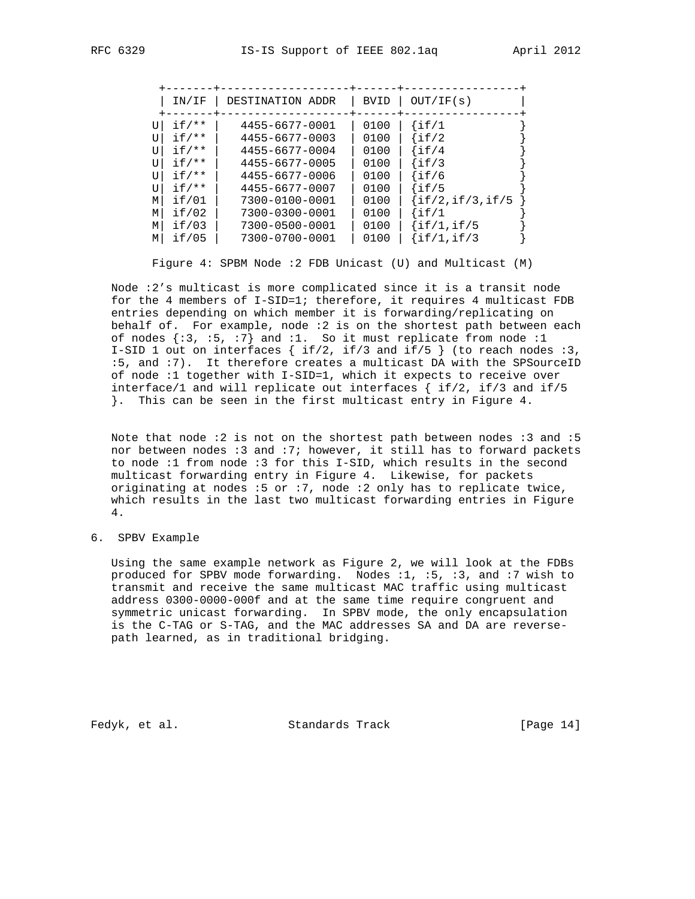|                                      | IN/IF                                                                         | DESTINATION ADDR                                                                                                           | <b>BVID</b>                                          | OUT/IF(s)                                                                                   |  |
|--------------------------------------|-------------------------------------------------------------------------------|----------------------------------------------------------------------------------------------------------------------------|------------------------------------------------------|---------------------------------------------------------------------------------------------|--|
| U<br>τT<br>ŢŢ<br>τT<br>τT<br>τT<br>M | $if$ /**<br>$if /**$<br>$if$ /**<br>$if$ /**<br>$if$ /**<br>$if$ /**<br>if/01 | 4455-6677-0001<br>4455-6677-0003<br>4455-6677-0004<br>4455-6677-0005<br>4455-6677-0006<br>4455-6677-0007<br>7300-0100-0001 | 0100<br>0100<br>0100<br>0100<br>0100<br>0100<br>0100 | $\{if/1$<br>$\lfloor \text{if}/2 \rfloor$<br>if/4<br>if/3<br>if/6<br>if/5<br>if/2,if/3,if/5 |  |
| М                                    | if/02                                                                         | 7300-0300-0001                                                                                                             | 0100                                                 | if/1                                                                                        |  |
| M<br>М                               | if/03<br>if/05                                                                | 7300-0500-0001<br>7300-0700-0001                                                                                           | 0100<br>0100                                         | if/1, if/5<br>if/1, if/3                                                                    |  |
|                                      |                                                                               |                                                                                                                            |                                                      |                                                                                             |  |

Figure 4: SPBM Node :2 FDB Unicast (U) and Multicast (M)

 Node :2's multicast is more complicated since it is a transit node for the 4 members of I-SID=1; therefore, it requires 4 multicast FDB entries depending on which member it is forwarding/replicating on behalf of. For example, node :2 is on the shortest path between each of nodes  $\{:3, :5, :7\}$  and  $:1.$  So it must replicate from node  $:1$  I-SID 1 out on interfaces { if/2, if/3 and if/5 } (to reach nodes :3, :5, and :7). It therefore creates a multicast DA with the SPSourceID of node :1 together with I-SID=1, which it expects to receive over interface/1 and will replicate out interfaces { if/2, if/3 and if/5 }. This can be seen in the first multicast entry in Figure 4.

 Note that node :2 is not on the shortest path between nodes :3 and :5 nor between nodes :3 and :7; however, it still has to forward packets to node :1 from node :3 for this I-SID, which results in the second multicast forwarding entry in Figure 4. Likewise, for packets originating at nodes :5 or :7, node :2 only has to replicate twice, which results in the last two multicast forwarding entries in Figure 4.

6. SPBV Example

 Using the same example network as Figure 2, we will look at the FDBs produced for SPBV mode forwarding. Nodes :1, :5, :3, and :7 wish to transmit and receive the same multicast MAC traffic using multicast address 0300-0000-000f and at the same time require congruent and symmetric unicast forwarding. In SPBV mode, the only encapsulation is the C-TAG or S-TAG, and the MAC addresses SA and DA are reverse path learned, as in traditional bridging.

Fedyk, et al. Standards Track [Page 14]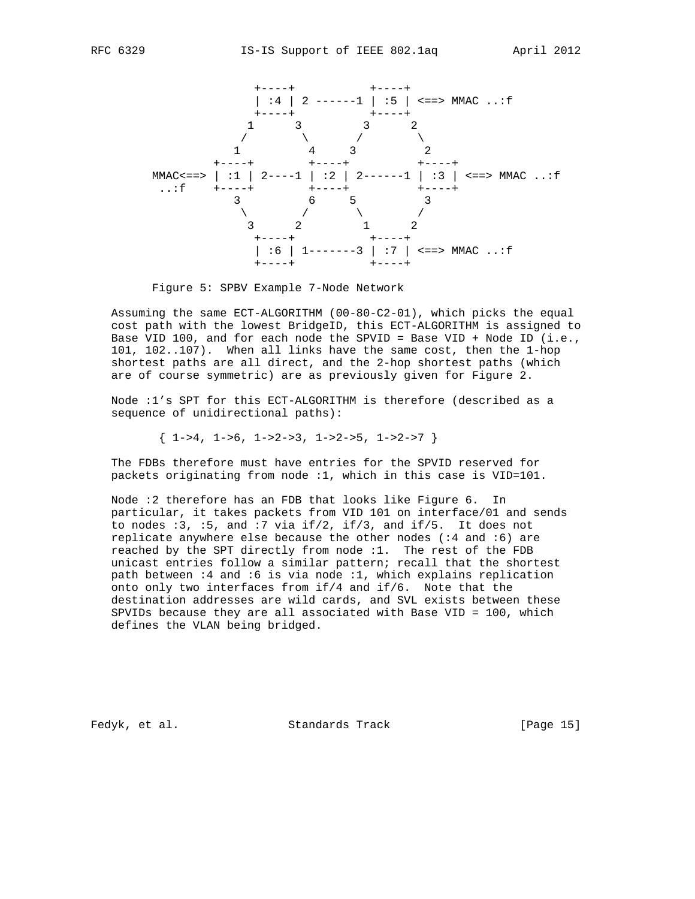



Figure 5: SPBV Example 7-Node Network

 Assuming the same ECT-ALGORITHM (00-80-C2-01), which picks the equal cost path with the lowest BridgeID, this ECT-ALGORITHM is assigned to Base VID 100, and for each node the SPVID = Base VID + Node ID (i.e., 101, 102..107). When all links have the same cost, then the 1-hop shortest paths are all direct, and the 2-hop shortest paths (which are of course symmetric) are as previously given for Figure 2.

 Node :1's SPT for this ECT-ALGORITHM is therefore (described as a sequence of unidirectional paths):

 $\{ 1 - 34, 1 - 5, 1 - 2 - 3, 1 - 2 - 5, 1 - 2 - 7 \}$ 

 The FDBs therefore must have entries for the SPVID reserved for packets originating from node :1, which in this case is VID=101.

 Node :2 therefore has an FDB that looks like Figure 6. In particular, it takes packets from VID 101 on interface/01 and sends to nodes :3, :5, and :7 via if/2, if/3, and if/5. It does not replicate anywhere else because the other nodes (:4 and :6) are reached by the SPT directly from node :1. The rest of the FDB unicast entries follow a similar pattern; recall that the shortest path between :4 and :6 is via node :1, which explains replication onto only two interfaces from if/4 and if/6. Note that the destination addresses are wild cards, and SVL exists between these SPVIDs because they are all associated with Base VID = 100, which defines the VLAN being bridged.

Fedyk, et al. Standards Track [Page 15]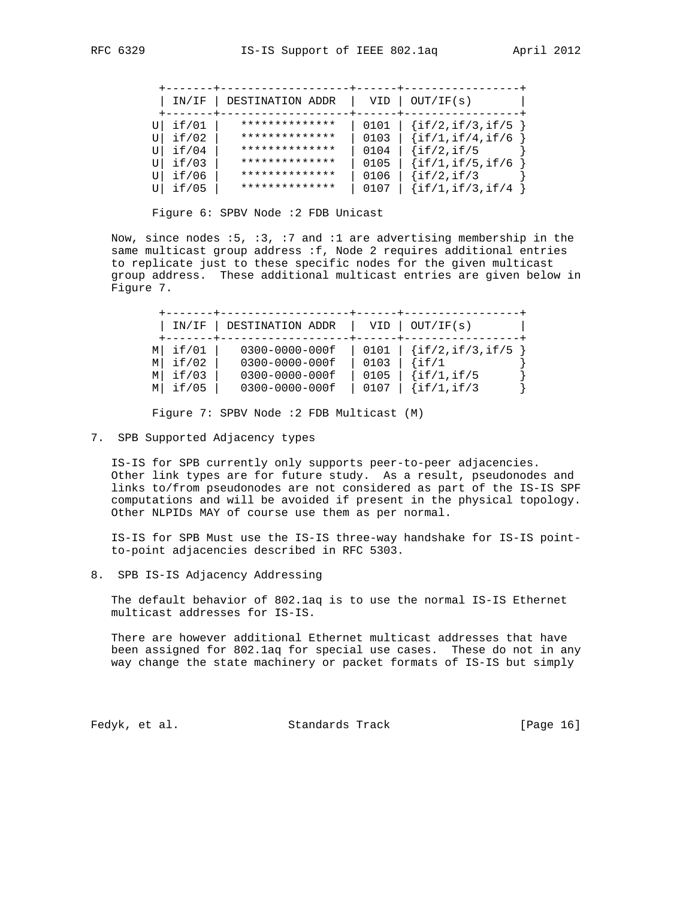| IN/IF | DESTINATION ADDR | VID  | OUT/IF(s)            |
|-------|------------------|------|----------------------|
|       |                  |      |                      |
| if/01 | **************   | 0101 | $\{if/2, if/3, if/5$ |
| if/02 | **************   | 0103 | $\{if/1,if/4,if/6$   |
| if/04 | **************   | 0104 | $\{if/2, if/5$       |
| if/03 | **************   | 0105 | $\{if/1,if/5,if/6$   |
| if/06 | **************   | 0106 | $\{if/2,if/3$        |
| if/05 | **************   | 0107 | $\{if/1,if/3,if/4$   |

Figure 6: SPBV Node :2 FDB Unicast

 Now, since nodes :5, :3, :7 and :1 are advertising membership in the same multicast group address :f, Node 2 requires additional entries to replicate just to these specific nodes for the given multicast group address. These additional multicast entries are given below in Figure 7.

|   | IN/IF | DESTINATION ADDR     | VID  | OUT/IF(s)            |
|---|-------|----------------------|------|----------------------|
| М | if/01 | $0300 - 0000 - 000f$ | 0101 | $\{if/2, if/3, if/5$ |
| M | if/02 | 0300-0000-000f       | 0103 | $\{if/1$             |
| М | if/03 | $0300 - 0000 - 000f$ | 0105 | $\{if/1,if/5$        |
| M | if/05 | $0300 - 0000 - 000f$ | 0107 | $\{if/1,if/3$        |

Figure 7: SPBV Node :2 FDB Multicast (M)

7. SPB Supported Adjacency types

 IS-IS for SPB currently only supports peer-to-peer adjacencies. Other link types are for future study. As a result, pseudonodes and links to/from pseudonodes are not considered as part of the IS-IS SPF computations and will be avoided if present in the physical topology. Other NLPIDs MAY of course use them as per normal.

 IS-IS for SPB Must use the IS-IS three-way handshake for IS-IS point to-point adjacencies described in RFC 5303.

8. SPB IS-IS Adjacency Addressing

 The default behavior of 802.1aq is to use the normal IS-IS Ethernet multicast addresses for IS-IS.

 There are however additional Ethernet multicast addresses that have been assigned for 802.1aq for special use cases. These do not in any way change the state machinery or packet formats of IS-IS but simply

Fedyk, et al. Standards Track [Page 16]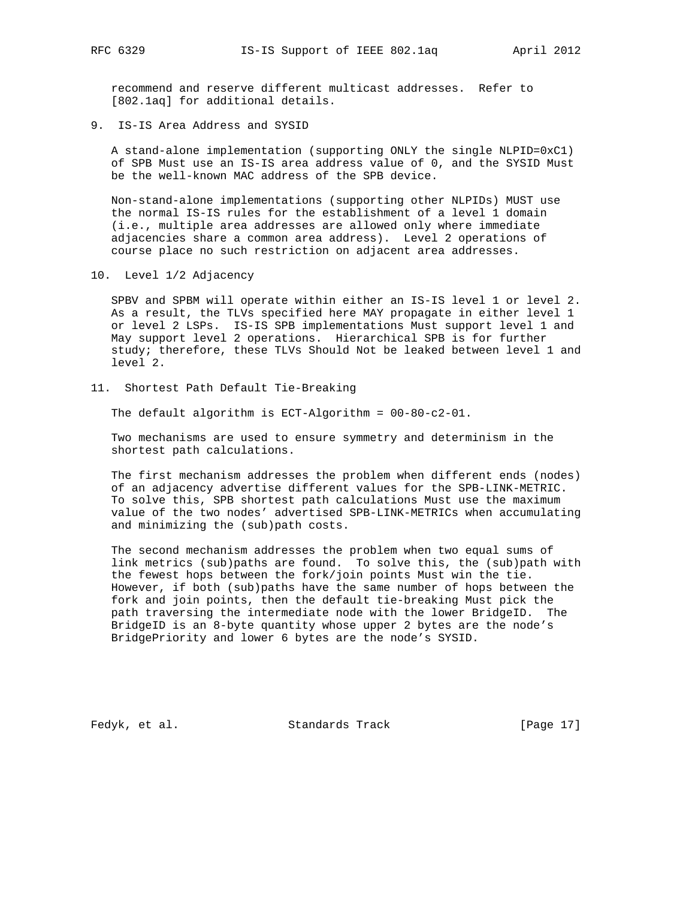recommend and reserve different multicast addresses. Refer to [802.1aq] for additional details.

9. IS-IS Area Address and SYSID

 A stand-alone implementation (supporting ONLY the single NLPID=0xC1) of SPB Must use an IS-IS area address value of 0, and the SYSID Must be the well-known MAC address of the SPB device.

 Non-stand-alone implementations (supporting other NLPIDs) MUST use the normal IS-IS rules for the establishment of a level 1 domain (i.e., multiple area addresses are allowed only where immediate adjacencies share a common area address). Level 2 operations of course place no such restriction on adjacent area addresses.

10. Level 1/2 Adjacency

 SPBV and SPBM will operate within either an IS-IS level 1 or level 2. As a result, the TLVs specified here MAY propagate in either level 1 or level 2 LSPs. IS-IS SPB implementations Must support level 1 and May support level 2 operations. Hierarchical SPB is for further study; therefore, these TLVs Should Not be leaked between level 1 and level 2.

11. Shortest Path Default Tie-Breaking

The default algorithm is ECT-Algorithm = 00-80-c2-01.

 Two mechanisms are used to ensure symmetry and determinism in the shortest path calculations.

 The first mechanism addresses the problem when different ends (nodes) of an adjacency advertise different values for the SPB-LINK-METRIC. To solve this, SPB shortest path calculations Must use the maximum value of the two nodes' advertised SPB-LINK-METRICs when accumulating and minimizing the (sub)path costs.

 The second mechanism addresses the problem when two equal sums of link metrics (sub)paths are found. To solve this, the (sub)path with the fewest hops between the fork/join points Must win the tie. However, if both (sub)paths have the same number of hops between the fork and join points, then the default tie-breaking Must pick the path traversing the intermediate node with the lower BridgeID. The BridgeID is an 8-byte quantity whose upper 2 bytes are the node's BridgePriority and lower 6 bytes are the node's SYSID.

Fedyk, et al. Standards Track [Page 17]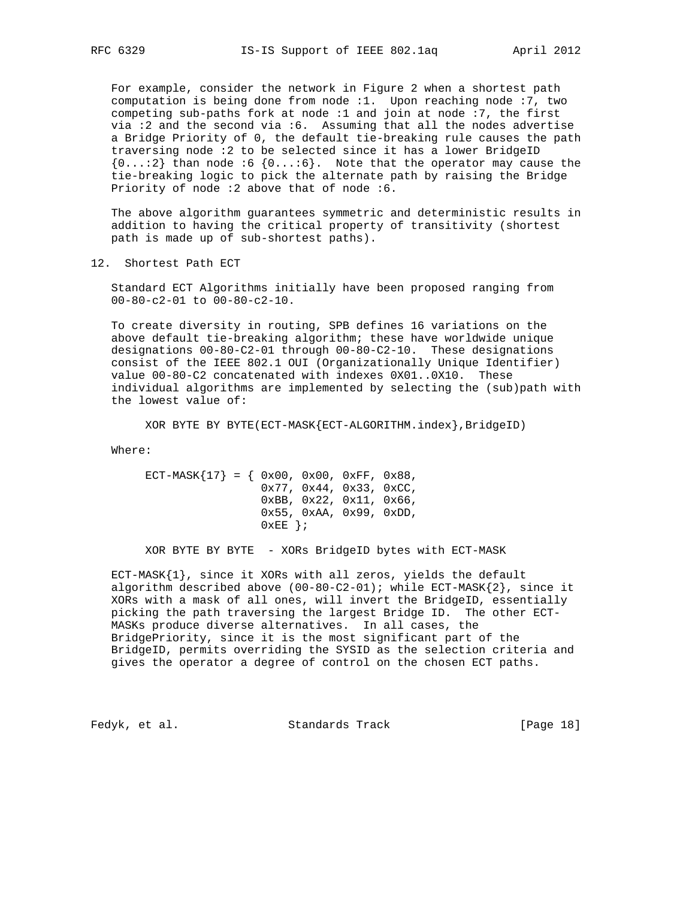For example, consider the network in Figure 2 when a shortest path computation is being done from node :1. Upon reaching node :7, two competing sub-paths fork at node :1 and join at node :7, the first via :2 and the second via :6. Assuming that all the nodes advertise a Bridge Priority of 0, the default tie-breaking rule causes the path traversing node :2 to be selected since it has a lower BridgeID  ${0...:2}$  than node :6  ${0...:6}$ . Note that the operator may cause the tie-breaking logic to pick the alternate path by raising the Bridge Priority of node :2 above that of node :6.

 The above algorithm guarantees symmetric and deterministic results in addition to having the critical property of transitivity (shortest path is made up of sub-shortest paths).

12. Shortest Path ECT

 Standard ECT Algorithms initially have been proposed ranging from 00-80-c2-01 to 00-80-c2-10.

 To create diversity in routing, SPB defines 16 variations on the above default tie-breaking algorithm; these have worldwide unique designations 00-80-C2-01 through 00-80-C2-10. These designations consist of the IEEE 802.1 OUI (Organizationally Unique Identifier) value 00-80-C2 concatenated with indexes 0X01..0X10. These individual algorithms are implemented by selecting the (sub)path with the lowest value of:

XOR BYTE BY BYTE(ECT-MASK{ECT-ALGORITHM.index},BridgeID)

Where:

ECT-MASK $\{17\} = \{ 0x00, 0x00, 0xFF, 0x88,$  0x77, 0x44, 0x33, 0xCC, 0xBB, 0x22, 0x11, 0x66, 0x55, 0xAA, 0x99, 0xDD,  $0 \times EE$  } ;

XOR BYTE BY BYTE - XORs BridgeID bytes with ECT-MASK

 ECT-MASK{1}, since it XORs with all zeros, yields the default algorithm described above  $(00-80-C2-01)$ ; while ECT-MASK $\{2\}$ , since it XORs with a mask of all ones, will invert the BridgeID, essentially picking the path traversing the largest Bridge ID. The other ECT- MASKs produce diverse alternatives. In all cases, the BridgePriority, since it is the most significant part of the BridgeID, permits overriding the SYSID as the selection criteria and gives the operator a degree of control on the chosen ECT paths.

Fedyk, et al. Standards Track [Page 18]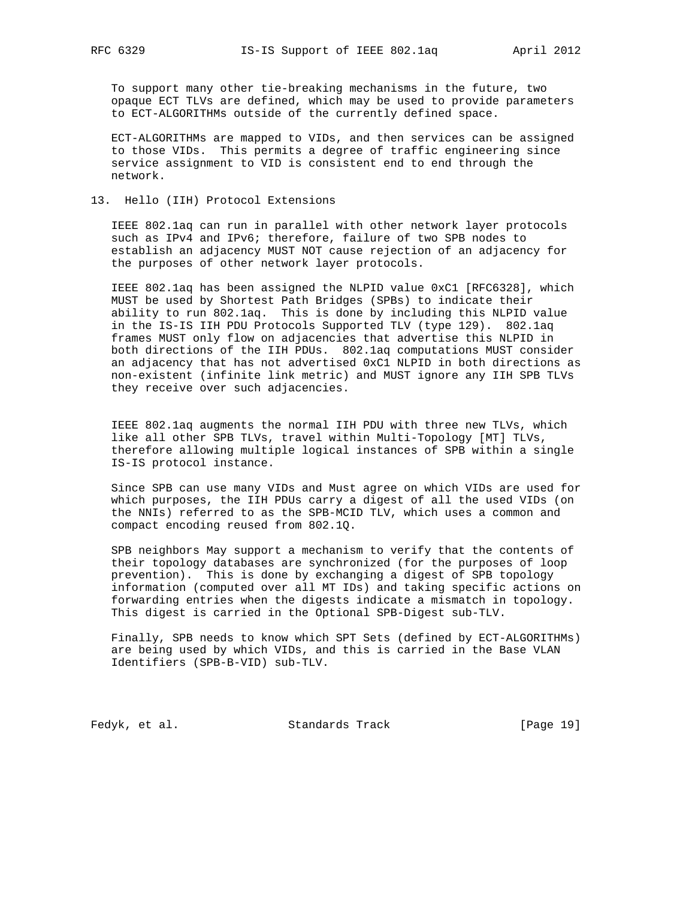To support many other tie-breaking mechanisms in the future, two opaque ECT TLVs are defined, which may be used to provide parameters to ECT-ALGORITHMs outside of the currently defined space.

 ECT-ALGORITHMs are mapped to VIDs, and then services can be assigned to those VIDs. This permits a degree of traffic engineering since service assignment to VID is consistent end to end through the network.

### 13. Hello (IIH) Protocol Extensions

 IEEE 802.1aq can run in parallel with other network layer protocols such as IPv4 and IPv6; therefore, failure of two SPB nodes to establish an adjacency MUST NOT cause rejection of an adjacency for the purposes of other network layer protocols.

 IEEE 802.1aq has been assigned the NLPID value 0xC1 [RFC6328], which MUST be used by Shortest Path Bridges (SPBs) to indicate their ability to run 802.1aq. This is done by including this NLPID value in the IS-IS IIH PDU Protocols Supported TLV (type 129). 802.1aq frames MUST only flow on adjacencies that advertise this NLPID in both directions of the IIH PDUs. 802.1aq computations MUST consider an adjacency that has not advertised 0xC1 NLPID in both directions as non-existent (infinite link metric) and MUST ignore any IIH SPB TLVs they receive over such adjacencies.

 IEEE 802.1aq augments the normal IIH PDU with three new TLVs, which like all other SPB TLVs, travel within Multi-Topology [MT] TLVs, therefore allowing multiple logical instances of SPB within a single IS-IS protocol instance.

 Since SPB can use many VIDs and Must agree on which VIDs are used for which purposes, the IIH PDUs carry a digest of all the used VIDs (on the NNIs) referred to as the SPB-MCID TLV, which uses a common and compact encoding reused from 802.1Q.

 SPB neighbors May support a mechanism to verify that the contents of their topology databases are synchronized (for the purposes of loop prevention). This is done by exchanging a digest of SPB topology information (computed over all MT IDs) and taking specific actions on forwarding entries when the digests indicate a mismatch in topology. This digest is carried in the Optional SPB-Digest sub-TLV.

 Finally, SPB needs to know which SPT Sets (defined by ECT-ALGORITHMs) are being used by which VIDs, and this is carried in the Base VLAN Identifiers (SPB-B-VID) sub-TLV.

Fedyk, et al. Standards Track [Page 19]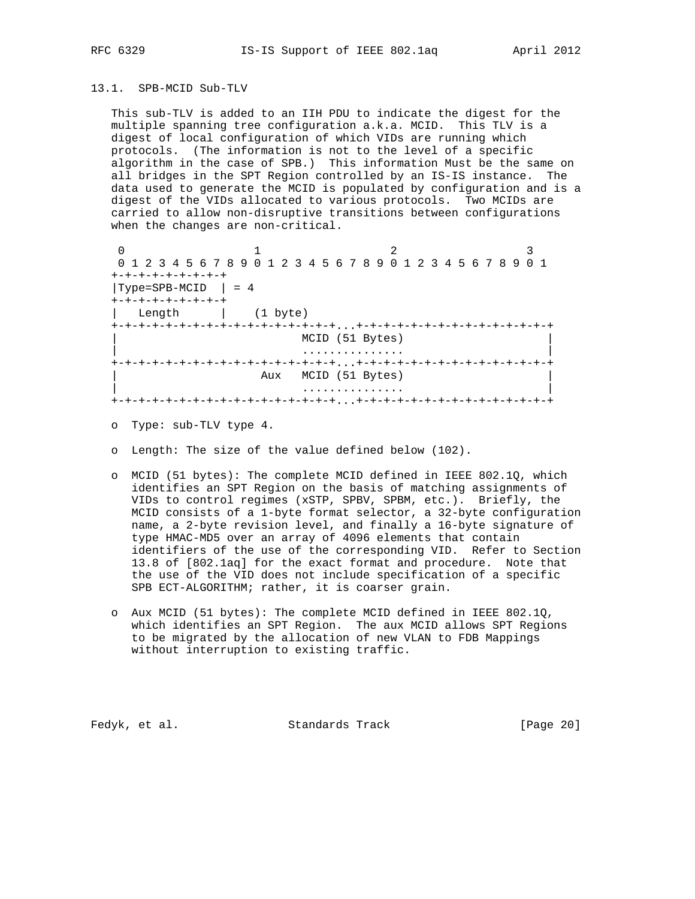#### 13.1. SPB-MCID Sub-TLV

 This sub-TLV is added to an IIH PDU to indicate the digest for the multiple spanning tree configuration a.k.a. MCID. This TLV is a digest of local configuration of which VIDs are running which protocols. (The information is not to the level of a specific algorithm in the case of SPB.) This information Must be the same on all bridges in the SPT Region controlled by an IS-IS instance. The data used to generate the MCID is populated by configuration and is a digest of the VIDs allocated to various protocols. Two MCIDs are carried to allow non-disruptive transitions between configurations when the changes are non-critical.

0  $1$  2 3 0 1 2 3 4 5 6 7 8 9 0 1 2 3 4 5 6 7 8 9 0 1 2 3 4 5 6 7 8 9 0 1 +-+-+-+-+-+-+-+-+  $|Type=SPB-MCID | = 4$  +-+-+-+-+-+-+-+-+ | Length | (1 byte) +-+-+-+-+-+-+-+-+-+-+-+-+-+-+-+-+...+-+-+-+-+-+-+-+-+-+-+-+-+-+-+ MCID (51 Bytes) | ............... | +-+-+-+-+-+-+-+-+-+-+-+-+-+-+-+-+...+-+-+-+-+-+-+-+-+-+-+-+-+-+-+ Aux MCID (51 Bytes) | ............... | +-+-+-+-+-+-+-+-+-+-+-+-+-+-+-+-+...+-+-+-+-+-+-+-+-+-+-+-+-+-+-+

- o Type: sub-TLV type 4.
- o Length: The size of the value defined below (102).
- o MCID (51 bytes): The complete MCID defined in IEEE 802.1Q, which identifies an SPT Region on the basis of matching assignments of VIDs to control regimes (xSTP, SPBV, SPBM, etc.). Briefly, the MCID consists of a 1-byte format selector, a 32-byte configuration name, a 2-byte revision level, and finally a 16-byte signature of type HMAC-MD5 over an array of 4096 elements that contain identifiers of the use of the corresponding VID. Refer to Section 13.8 of [802.1aq] for the exact format and procedure. Note that the use of the VID does not include specification of a specific SPB ECT-ALGORITHM; rather, it is coarser grain.
- o Aux MCID (51 bytes): The complete MCID defined in IEEE 802.1Q, which identifies an SPT Region. The aux MCID allows SPT Regions to be migrated by the allocation of new VLAN to FDB Mappings without interruption to existing traffic.

Fedyk, et al. Standards Track [Page 20]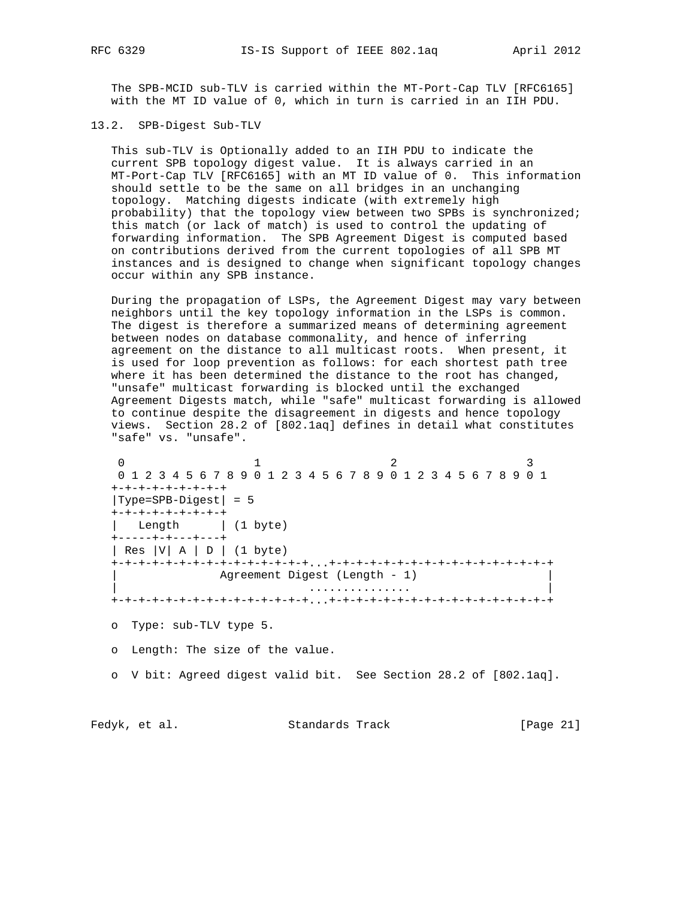The SPB-MCID sub-TLV is carried within the MT-Port-Cap TLV [RFC6165] with the MT ID value of 0, which in turn is carried in an IIH PDU.

13.2. SPB-Digest Sub-TLV

 This sub-TLV is Optionally added to an IIH PDU to indicate the current SPB topology digest value. It is always carried in an MT-Port-Cap TLV [RFC6165] with an MT ID value of 0. This information should settle to be the same on all bridges in an unchanging topology. Matching digests indicate (with extremely high probability) that the topology view between two SPBs is synchronized; this match (or lack of match) is used to control the updating of forwarding information. The SPB Agreement Digest is computed based on contributions derived from the current topologies of all SPB MT instances and is designed to change when significant topology changes occur within any SPB instance.

 During the propagation of LSPs, the Agreement Digest may vary between neighbors until the key topology information in the LSPs is common. The digest is therefore a summarized means of determining agreement between nodes on database commonality, and hence of inferring agreement on the distance to all multicast roots. When present, it is used for loop prevention as follows: for each shortest path tree where it has been determined the distance to the root has changed, "unsafe" multicast forwarding is blocked until the exchanged Agreement Digests match, while "safe" multicast forwarding is allowed to continue despite the disagreement in digests and hence topology views. Section 28.2 of [802.1aq] defines in detail what constitutes "safe" vs. "unsafe".

 $\begin{array}{cccccccccccccc} 0 & & & & 1 & & & & 2 & & & & 3 \end{array}$  0 1 2 3 4 5 6 7 8 9 0 1 2 3 4 5 6 7 8 9 0 1 2 3 4 5 6 7 8 9 0 1 +-+-+-+-+-+-+-+-+ |Type=SPB-Digest| = 5 +-+-+-+-+-+-+-+-+ | Length | (1 byte) +-----+-+---+---+ | Res |V| A | D | (1 byte) +-+-+-+-+-+-+-+-+-+-+-+-+-+-+...+-+-+-+-+-+-+-+-+-+-+-+-+-+-+-+-+ Agreement Digest (Length - 1) | ............... | +-+-+-+-+-+-+-+-+-+-+-+-+-+-+...+-+-+-+-+-+-+-+-+-+-+-+-+-+-+-+-+ o Type: sub-TLV type 5.

o Length: The size of the value.

o V bit: Agreed digest valid bit. See Section 28.2 of [802.1aq].

Fedyk, et al. Standards Track [Page 21]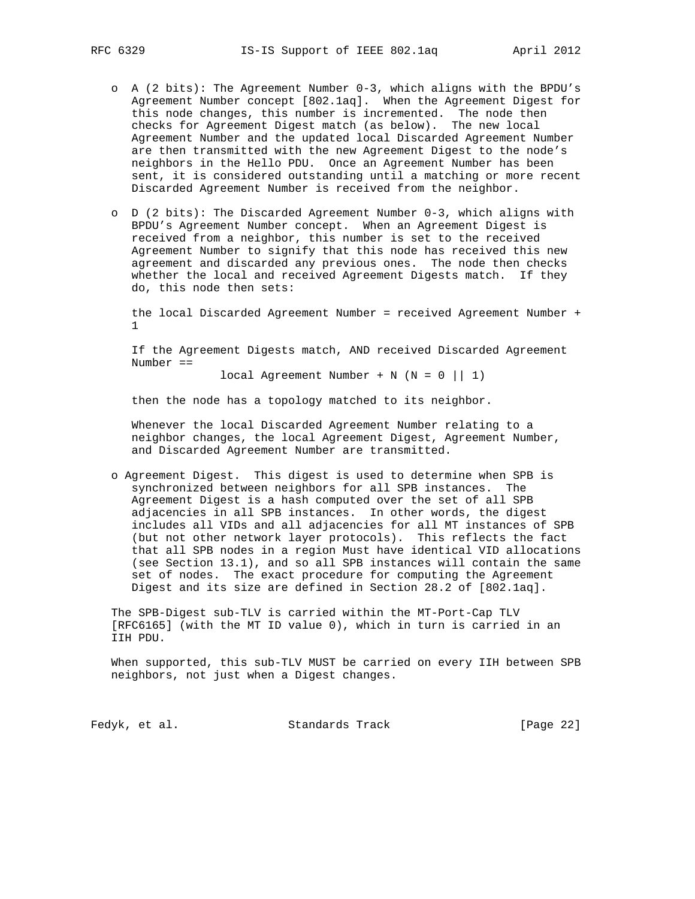- o A (2 bits): The Agreement Number 0-3, which aligns with the BPDU's Agreement Number concept [802.1aq]. When the Agreement Digest for this node changes, this number is incremented. The node then checks for Agreement Digest match (as below). The new local Agreement Number and the updated local Discarded Agreement Number are then transmitted with the new Agreement Digest to the node's neighbors in the Hello PDU. Once an Agreement Number has been sent, it is considered outstanding until a matching or more recent Discarded Agreement Number is received from the neighbor.
- o D (2 bits): The Discarded Agreement Number 0-3, which aligns with BPDU's Agreement Number concept. When an Agreement Digest is received from a neighbor, this number is set to the received Agreement Number to signify that this node has received this new agreement and discarded any previous ones. The node then checks whether the local and received Agreement Digests match. If they do, this node then sets:

 the local Discarded Agreement Number = received Agreement Number + 1

 If the Agreement Digests match, AND received Discarded Agreement Number ==

local Agreement Number + N  $(N = 0 || 1)$ 

then the node has a topology matched to its neighbor.

 Whenever the local Discarded Agreement Number relating to a neighbor changes, the local Agreement Digest, Agreement Number, and Discarded Agreement Number are transmitted.

 o Agreement Digest. This digest is used to determine when SPB is synchronized between neighbors for all SPB instances. The Agreement Digest is a hash computed over the set of all SPB adjacencies in all SPB instances. In other words, the digest includes all VIDs and all adjacencies for all MT instances of SPB (but not other network layer protocols). This reflects the fact that all SPB nodes in a region Must have identical VID allocations (see Section 13.1), and so all SPB instances will contain the same set of nodes. The exact procedure for computing the Agreement Digest and its size are defined in Section 28.2 of [802.1aq].

 The SPB-Digest sub-TLV is carried within the MT-Port-Cap TLV [RFC6165] (with the MT ID value 0), which in turn is carried in an IIH PDU.

 When supported, this sub-TLV MUST be carried on every IIH between SPB neighbors, not just when a Digest changes.

Fedyk, et al. Standards Track [Page 22]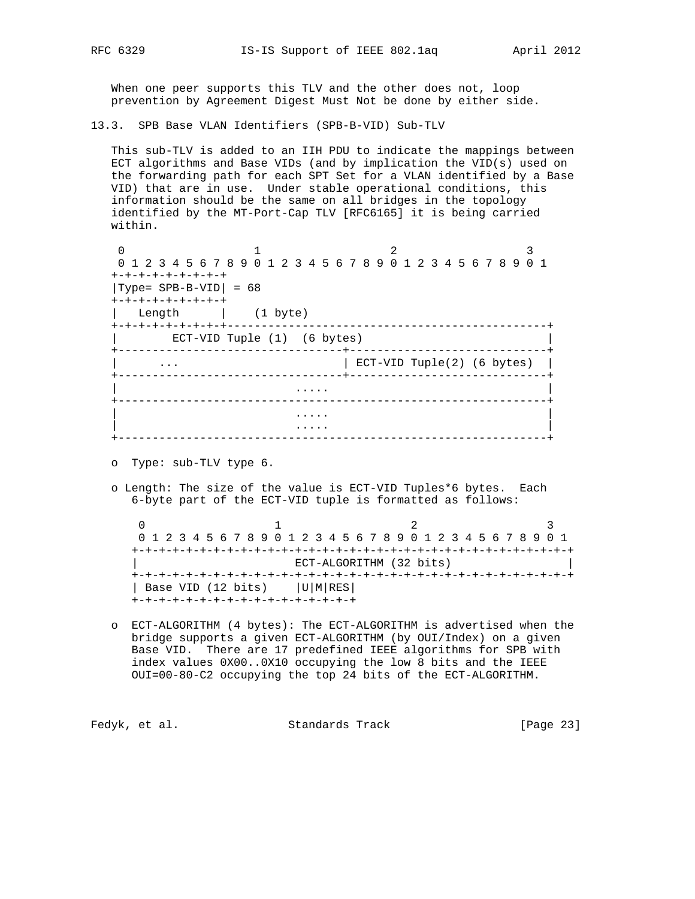When one peer supports this TLV and the other does not, loop prevention by Agreement Digest Must Not be done by either side.

13.3. SPB Base VLAN Identifiers (SPB-B-VID) Sub-TLV

 This sub-TLV is added to an IIH PDU to indicate the mappings between ECT algorithms and Base VIDs (and by implication the VID(s) used on the forwarding path for each SPT Set for a VLAN identified by a Base VID) that are in use. Under stable operational conditions, this information should be the same on all bridges in the topology identified by the MT-Port-Cap TLV [RFC6165] it is being carried within.

| 0 1 2 3 4 5 6 7 8 9 0 1 2 3 4 5 6 7 8 9 0 1 2 3 4 5 6 7 8 9 0 1 |                             |   |                            |  |  |  |  |  |  |  |
|-----------------------------------------------------------------|-----------------------------|---|----------------------------|--|--|--|--|--|--|--|
| +-+-+-+-+-+-+-+-+                                               |                             |   |                            |  |  |  |  |  |  |  |
| $ Type= SPB-B-VID  = 68$                                        |                             |   |                            |  |  |  |  |  |  |  |
| +-+-+-+-+-+-+-+-+                                               |                             |   |                            |  |  |  |  |  |  |  |
| Length                                                          | $(1 \text{ byte})$          |   |                            |  |  |  |  |  |  |  |
| +-+-+-+-+-+-+-+-+-----                                          |                             |   |                            |  |  |  |  |  |  |  |
|                                                                 | ECT-VID Tuple (1) (6 bytes) |   |                            |  |  |  |  |  |  |  |
| $\cdots$                                                        |                             |   | ECT-VID Tuple(2) (6 bytes) |  |  |  |  |  |  |  |
|                                                                 |                             | . |                            |  |  |  |  |  |  |  |
|                                                                 |                             |   |                            |  |  |  |  |  |  |  |
|                                                                 |                             |   |                            |  |  |  |  |  |  |  |

o Type: sub-TLV type 6.

 o Length: The size of the value is ECT-VID Tuples\*6 bytes. Each 6-byte part of the ECT-VID tuple is formatted as follows:

0  $1$  2 3 0 1 2 3 4 5 6 7 8 9 0 1 2 3 4 5 6 7 8 9 0 1 2 3 4 5 6 7 8 9 0 1 +-+-+-+-+-+-+-+-+-+-+-+-+-+-+-+-+-+-+-+-+-+-+-+-+-+-+-+-+-+-+-+-+ ECT-ALGORITHM (32 bits) +-+-+-+-+-+-+-+-+-+-+-+-+-+-+-+-+-+-+-+-+-+-+-+-+-+-+-+-+-+-+-+-+ | Base VID (12 bits)  $|U|M|RES|$ +-+-+-+-+-+-+-+-+-+-+-+-+-+-+-+-+

 o ECT-ALGORITHM (4 bytes): The ECT-ALGORITHM is advertised when the bridge supports a given ECT-ALGORITHM (by OUI/Index) on a given Base VID. There are 17 predefined IEEE algorithms for SPB with index values 0X00..0X10 occupying the low 8 bits and the IEEE OUI=00-80-C2 occupying the top 24 bits of the ECT-ALGORITHM.

Fedyk, et al. Standards Track [Page 23]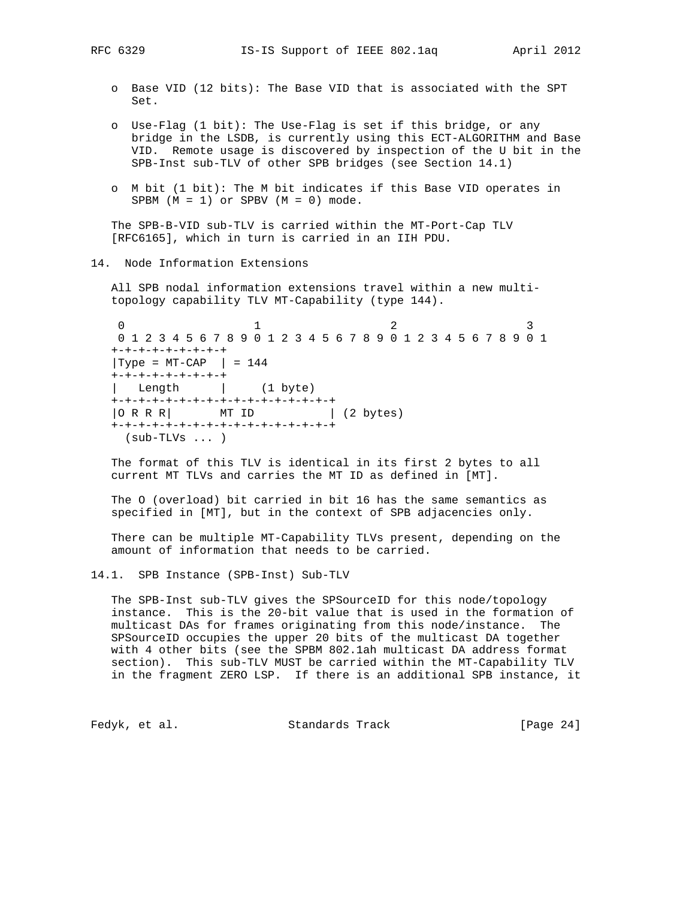- o Base VID (12 bits): The Base VID that is associated with the SPT Set.
- o Use-Flag (1 bit): The Use-Flag is set if this bridge, or any bridge in the LSDB, is currently using this ECT-ALGORITHM and Base VID. Remote usage is discovered by inspection of the U bit in the SPB-Inst sub-TLV of other SPB bridges (see Section 14.1)
- o M bit (1 bit): The M bit indicates if this Base VID operates in SPBM  $(M = 1)$  or SPBV  $(M = 0)$  mode.

 The SPB-B-VID sub-TLV is carried within the MT-Port-Cap TLV [RFC6165], which in turn is carried in an IIH PDU.

14. Node Information Extensions

 All SPB nodal information extensions travel within a new multi topology capability TLV MT-Capability (type 144).

0  $1$  2 3 0 1 2 3 4 5 6 7 8 9 0 1 2 3 4 5 6 7 8 9 0 1 2 3 4 5 6 7 8 9 0 1 +-+-+-+-+-+-+-+-+  $|Type = MT-CAP$   $| = 144$  +-+-+-+-+-+-+-+-+ | Length | (1 byte) +-+-+-+-+-+-+-+-+-+-+-+-+-+-+-+-+ | O R R R | MT ID | (2 bytes) +-+-+-+-+-+-+-+-+-+-+-+-+-+-+-+-+ (sub-TLVs ... )

 The format of this TLV is identical in its first 2 bytes to all current MT TLVs and carries the MT ID as defined in [MT].

 The O (overload) bit carried in bit 16 has the same semantics as specified in [MT], but in the context of SPB adjacencies only.

 There can be multiple MT-Capability TLVs present, depending on the amount of information that needs to be carried.

14.1. SPB Instance (SPB-Inst) Sub-TLV

 The SPB-Inst sub-TLV gives the SPSourceID for this node/topology instance. This is the 20-bit value that is used in the formation of multicast DAs for frames originating from this node/instance. The SPSourceID occupies the upper 20 bits of the multicast DA together with 4 other bits (see the SPBM 802.1ah multicast DA address format section). This sub-TLV MUST be carried within the MT-Capability TLV in the fragment ZERO LSP. If there is an additional SPB instance, it

Fedyk, et al. Standards Track [Page 24]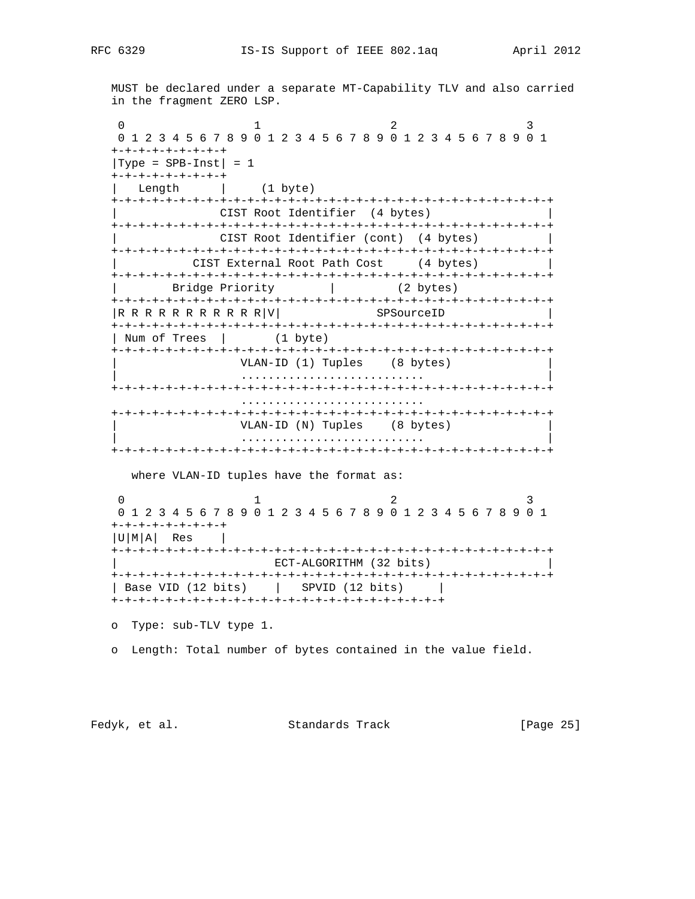MUST be declared under a separate MT-Capability TLV and also carried in the fragment ZERO LSP.

0  $1$  2 3 0 1 2 3 4 5 6 7 8 9 0 1 2 3 4 5 6 7 8 9 0 1 2 3 4 5 6 7 8 9 0 1 +-+-+-+-+-+-+-+-+  $|Type = SPB-Inst| = 1$  +-+-+-+-+-+-+-+-+ Length  $(1 \text{ byte})$  +-+-+-+-+-+-+-+-+-+-+-+-+-+-+-+-+-+-+-+-+-+-+-+-+-+-+-+-+-+-+-+-+ | CIST Root Identifier (4 bytes) | +-+-+-+-+-+-+-+-+-+-+-+-+-+-+-+-+-+-+-+-+-+-+-+-+-+-+-+-+-+-+-+-+ CIST Root Identifier (cont) (4 bytes) +-+-+-+-+-+-+-+-+-+-+-+-+-+-+-+-+-+-+-+-+-+-+-+-+-+-+-+-+-+-+-+-+ CIST External Root Path Cost (4 bytes) +-+-+-+-+-+-+-+-+-+-+-+-+-+-+-+-+-+-+-+-+-+-+-+-+-+-+-+-+-+-+-+-+ | Bridge Priority | (2 bytes) +-+-+-+-+-+-+-+-+-+-+-+-+-+-+-+-+-+-+-+-+-+-+-+-+-+-+-+-+-+-+-+-+  $|R \tR \tR \tR \tR \tR \tR \tR \tR \tR \tV|$  SPSourceID +-+-+-+-+-+-+-+-+-+-+-+-+-+-+-+-+-+-+-+-+-+-+-+-+-+-+-+-+-+-+-+-+ | Num of Trees | (1 byte) +-+-+-+-+-+-+-+-+-+-+-+-+-+-+-+-+-+-+-+-+-+-+-+-+-+-+-+-+-+-+-+-+ VLAN-ID (1) Tuples (8 bytes) | ........................... | +-+-+-+-+-+-+-+-+-+-+-+-+-+-+-+-+-+-+-+-+-+-+-+-+-+-+-+-+-+-+-+-+ ........................... +-+-+-+-+-+-+-+-+-+-+-+-+-+-+-+-+-+-+-+-+-+-+-+-+-+-+-+-+-+-+-+-+ VLAN-ID (N) Tuples (8 bytes) | ........................... | +-+-+-+-+-+-+-+-+-+-+-+-+-+-+-+-+-+-+-+-+-+-+-+-+-+-+-+-+-+-+-+-+ where VLAN-ID tuples have the format as: 0  $1$  2 3 0 1 2 3 4 5 6 7 8 9 0 1 2 3 4 5 6 7 8 9 0 1 2 3 4 5 6 7 8 9 0 1 +-+-+-+-+-+-+-+-+  $|U|M|A|$  Res  $|$ +-+-+-+-+-+-+-+-+-+-+-+-+-+-+-+-+-+-+-+-+-+-+-+-+-+-+-+-+-+-+-+-+

 | ECT-ALGORITHM (32 bits) | +-+-+-+-+-+-+-+-+-+-+-+-+-+-+-+-+-+-+-+-+-+-+-+-+-+-+-+-+-+-+-+-+ | Base VID (12 bits) | SPVID (12 bits) | +-+-+-+-+-+-+-+-+-+-+-+-+-+-+-+-+-+-+-+-+-+-+-+-+

o Type: sub-TLV type 1.

o Length: Total number of bytes contained in the value field.

Fedyk, et al. Standards Track [Page 25]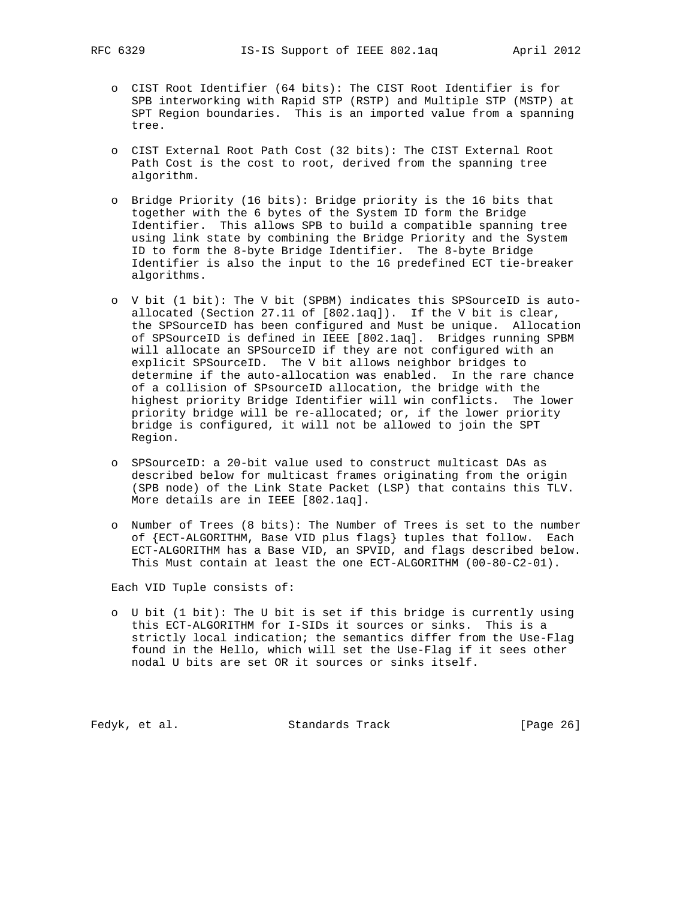- o CIST Root Identifier (64 bits): The CIST Root Identifier is for SPB interworking with Rapid STP (RSTP) and Multiple STP (MSTP) at SPT Region boundaries. This is an imported value from a spanning tree.
- o CIST External Root Path Cost (32 bits): The CIST External Root Path Cost is the cost to root, derived from the spanning tree algorithm.
- o Bridge Priority (16 bits): Bridge priority is the 16 bits that together with the 6 bytes of the System ID form the Bridge Identifier. This allows SPB to build a compatible spanning tree using link state by combining the Bridge Priority and the System ID to form the 8-byte Bridge Identifier. The 8-byte Bridge Identifier is also the input to the 16 predefined ECT tie-breaker algorithms.
- o V bit (1 bit): The V bit (SPBM) indicates this SPSourceID is auto allocated (Section 27.11 of [802.1aq]). If the V bit is clear, the SPSourceID has been configured and Must be unique. Allocation of SPSourceID is defined in IEEE [802.1aq]. Bridges running SPBM will allocate an SPSourceID if they are not configured with an explicit SPSourceID. The V bit allows neighbor bridges to determine if the auto-allocation was enabled. In the rare chance of a collision of SPsourceID allocation, the bridge with the highest priority Bridge Identifier will win conflicts. The lower priority bridge will be re-allocated; or, if the lower priority bridge is configured, it will not be allowed to join the SPT Region.
- o SPSourceID: a 20-bit value used to construct multicast DAs as described below for multicast frames originating from the origin (SPB node) of the Link State Packet (LSP) that contains this TLV. More details are in IEEE [802.1aq].
- o Number of Trees (8 bits): The Number of Trees is set to the number of {ECT-ALGORITHM, Base VID plus flags} tuples that follow. Each ECT-ALGORITHM has a Base VID, an SPVID, and flags described below. This Must contain at least the one ECT-ALGORITHM (00-80-C2-01).

Each VID Tuple consists of:

 o U bit (1 bit): The U bit is set if this bridge is currently using this ECT-ALGORITHM for I-SIDs it sources or sinks. This is a strictly local indication; the semantics differ from the Use-Flag found in the Hello, which will set the Use-Flag if it sees other nodal U bits are set OR it sources or sinks itself.

Fedyk, et al. Standards Track [Page 26]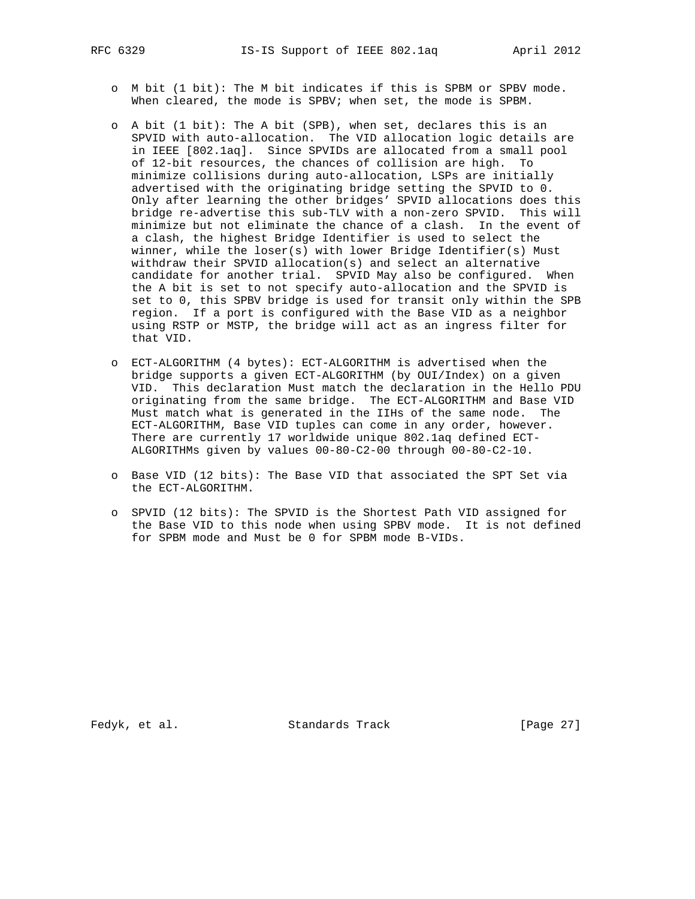- o M bit (1 bit): The M bit indicates if this is SPBM or SPBV mode. When cleared, the mode is SPBV; when set, the mode is SPBM.
- o A bit (1 bit): The A bit (SPB), when set, declares this is an SPVID with auto-allocation. The VID allocation logic details are in IEEE [802.1aq]. Since SPVIDs are allocated from a small pool of 12-bit resources, the chances of collision are high. To minimize collisions during auto-allocation, LSPs are initially advertised with the originating bridge setting the SPVID to 0. Only after learning the other bridges' SPVID allocations does this bridge re-advertise this sub-TLV with a non-zero SPVID. This will minimize but not eliminate the chance of a clash. In the event of a clash, the highest Bridge Identifier is used to select the winner, while the loser(s) with lower Bridge Identifier(s) Must withdraw their SPVID allocation(s) and select an alternative candidate for another trial. SPVID May also be configured. When the A bit is set to not specify auto-allocation and the SPVID is set to 0, this SPBV bridge is used for transit only within the SPB region. If a port is configured with the Base VID as a neighbor using RSTP or MSTP, the bridge will act as an ingress filter for that VID.
- o ECT-ALGORITHM (4 bytes): ECT-ALGORITHM is advertised when the bridge supports a given ECT-ALGORITHM (by OUI/Index) on a given VID. This declaration Must match the declaration in the Hello PDU originating from the same bridge. The ECT-ALGORITHM and Base VID Must match what is generated in the IIHs of the same node. The ECT-ALGORITHM, Base VID tuples can come in any order, however. There are currently 17 worldwide unique 802.1aq defined ECT- ALGORITHMs given by values 00-80-C2-00 through 00-80-C2-10.
- o Base VID (12 bits): The Base VID that associated the SPT Set via the ECT-ALGORITHM.
- o SPVID (12 bits): The SPVID is the Shortest Path VID assigned for the Base VID to this node when using SPBV mode. It is not defined for SPBM mode and Must be 0 for SPBM mode B-VIDs.

Fedyk, et al. Standards Track [Page 27]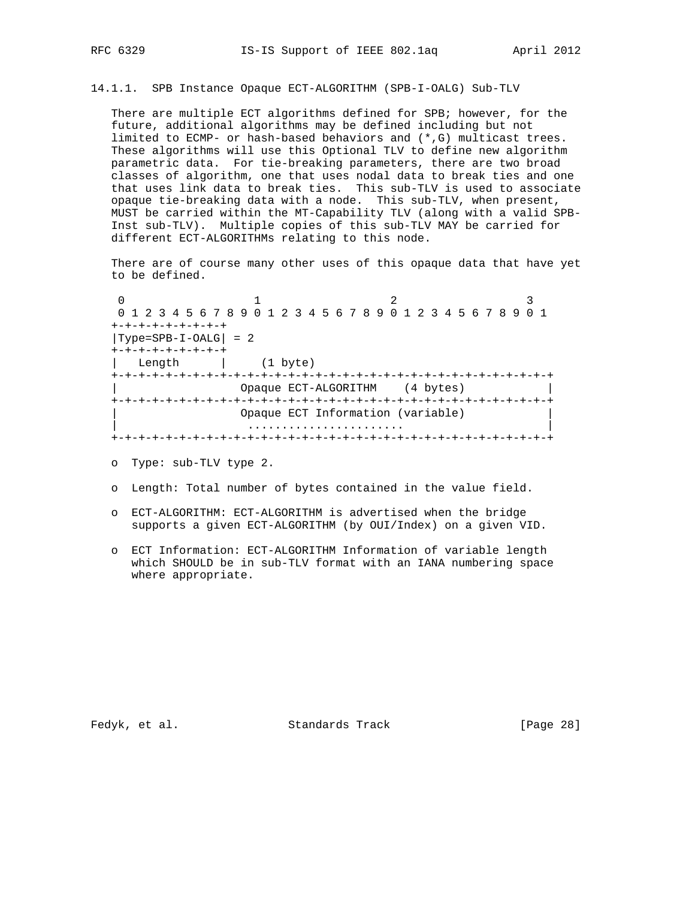14.1.1. SPB Instance Opaque ECT-ALGORITHM (SPB-I-OALG) Sub-TLV

 There are multiple ECT algorithms defined for SPB; however, for the future, additional algorithms may be defined including but not limited to ECMP- or hash-based behaviors and (\*,G) multicast trees. These algorithms will use this Optional TLV to define new algorithm parametric data. For tie-breaking parameters, there are two broad classes of algorithm, one that uses nodal data to break ties and one that uses link data to break ties. This sub-TLV is used to associate opaque tie-breaking data with a node. This sub-TLV, when present, MUST be carried within the MT-Capability TLV (along with a valid SPB- Inst sub-TLV). Multiple copies of this sub-TLV MAY be carried for different ECT-ALGORITHMs relating to this node.

 There are of course many other uses of this opaque data that have yet to be defined.

0  $1$  2 3 0 1 2 3 4 5 6 7 8 9 0 1 2 3 4 5 6 7 8 9 0 1 2 3 4 5 6 7 8 9 0 1 +-+-+-+-+-+-+-+-+  $|Type=SPB-I-OALG| = 2$  +-+-+-+-+-+-+-+-+ | Length | (1 byte) +-+-+-+-+-+-+-+-+-+-+-+-+-+-+-+-+-+-+-+-+-+-+-+-+-+-+-+-+-+-+-+-+ | Opaque ECT-ALGORITHM (4 bytes) | +-+-+-+-+-+-+-+-+-+-+-+-+-+-+-+-+-+-+-+-+-+-+-+-+-+-+-+-+-+-+-+-+ Opaque ECT Information (variable) | ....................... | +-+-+-+-+-+-+-+-+-+-+-+-+-+-+-+-+-+-+-+-+-+-+-+-+-+-+-+-+-+-+-+-+

o Type: sub-TLV type 2.

- o Length: Total number of bytes contained in the value field.
- o ECT-ALGORITHM: ECT-ALGORITHM is advertised when the bridge supports a given ECT-ALGORITHM (by OUI/Index) on a given VID.
- o ECT Information: ECT-ALGORITHM Information of variable length which SHOULD be in sub-TLV format with an IANA numbering space where appropriate.

Fedyk, et al. Standards Track [Page 28]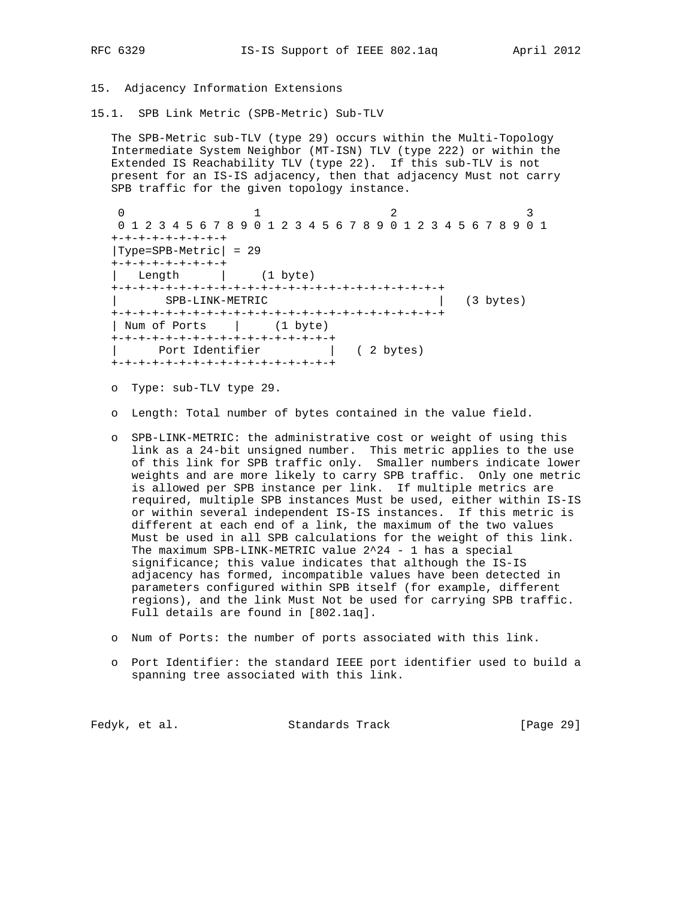#### 15. Adjacency Information Extensions

15.1. SPB Link Metric (SPB-Metric) Sub-TLV

 The SPB-Metric sub-TLV (type 29) occurs within the Multi-Topology Intermediate System Neighbor (MT-ISN) TLV (type 222) or within the Extended IS Reachability TLV (type 22). If this sub-TLV is not present for an IS-IS adjacency, then that adjacency Must not carry SPB traffic for the given topology instance.

0  $1$  2 3 0 1 2 3 4 5 6 7 8 9 0 1 2 3 4 5 6 7 8 9 0 1 2 3 4 5 6 7 8 9 0 1 +-+-+-+-+-+-+-+-+ |Type=SPB-Metric| = 29 +-+-+-+-+-+-+-+-+ | Length | (1 byte) +-+-+-+-+-+-+-+-+-+-+-+-+-+-+-+-+-+-+-+-+-+-+-+-+ | SPB-LINK-METRIC | (3 bytes) +-+-+-+-+-+-+-+-+-+-+-+-+-+-+-+-+-+-+-+-+-+-+-+-+ | Num of Ports | (1 byte) +-+-+-+-+-+-+-+-+-+-+-+-+-+-+-+-+ | Port Identifier | (2 bytes) +-+-+-+-+-+-+-+-+-+-+-+-+-+-+-+-+

- o Type: sub-TLV type 29.
- o Length: Total number of bytes contained in the value field.
- o SPB-LINK-METRIC: the administrative cost or weight of using this link as a 24-bit unsigned number. This metric applies to the use of this link for SPB traffic only. Smaller numbers indicate lower weights and are more likely to carry SPB traffic. Only one metric is allowed per SPB instance per link. If multiple metrics are required, multiple SPB instances Must be used, either within IS-IS or within several independent IS-IS instances. If this metric is different at each end of a link, the maximum of the two values Must be used in all SPB calculations for the weight of this link. The maximum SPB-LINK-METRIC value 2^24 - 1 has a special significance; this value indicates that although the IS-IS adjacency has formed, incompatible values have been detected in parameters configured within SPB itself (for example, different regions), and the link Must Not be used for carrying SPB traffic. Full details are found in [802.1aq].
- o Num of Ports: the number of ports associated with this link.
- o Port Identifier: the standard IEEE port identifier used to build a spanning tree associated with this link.

|  | Fedyk, et al. | Standards Track | [Page 29] |  |
|--|---------------|-----------------|-----------|--|
|--|---------------|-----------------|-----------|--|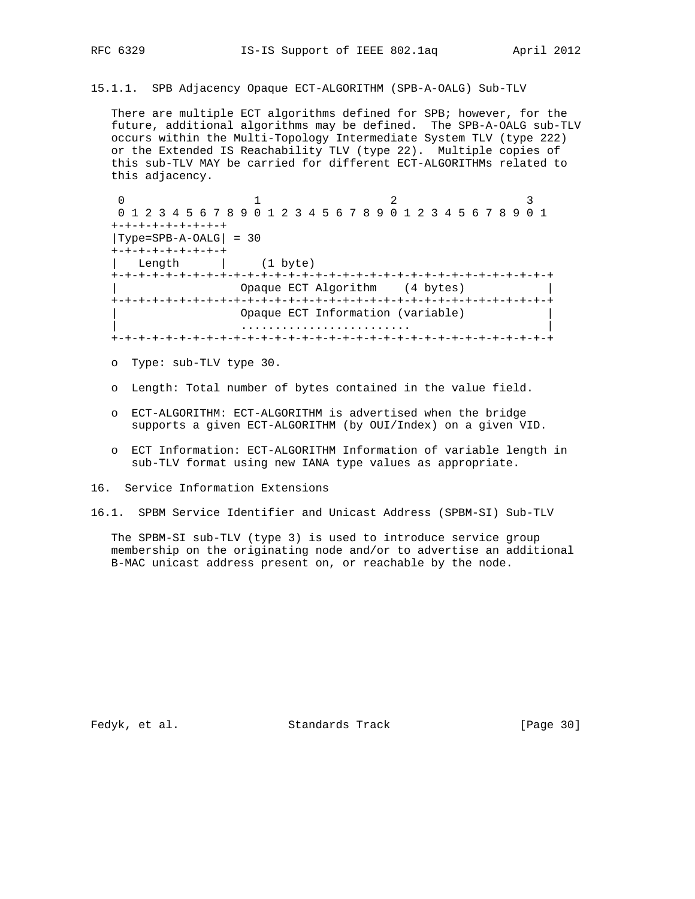15.1.1. SPB Adjacency Opaque ECT-ALGORITHM (SPB-A-OALG) Sub-TLV

 There are multiple ECT algorithms defined for SPB; however, for the future, additional algorithms may be defined. The SPB-A-OALG sub-TLV occurs within the Multi-Topology Intermediate System TLV (type 222) or the Extended IS Reachability TLV (type 22). Multiple copies of this sub-TLV MAY be carried for different ECT-ALGORITHMs related to this adjacency.

0  $1$  2 3 0 1 2 3 4 5 6 7 8 9 0 1 2 3 4 5 6 7 8 9 0 1 2 3 4 5 6 7 8 9 0 1 +-+-+-+-+-+-+-+-+ |Type=SPB-A-OALG| = 30 +-+-+-+-+-+-+-+-+ Length  $(1 \text{ byte})$  +-+-+-+-+-+-+-+-+-+-+-+-+-+-+-+-+-+-+-+-+-+-+-+-+-+-+-+-+-+-+-+-+ Opaque ECT Algorithm (4 bytes) +-+-+-+-+-+-+-+-+-+-+-+-+-+-+-+-+-+-+-+-+-+-+-+-+-+-+-+-+-+-+-+-+ Opaque ECT Information (variable) | ......................... | +-+-+-+-+-+-+-+-+-+-+-+-+-+-+-+-+-+-+-+-+-+-+-+-+-+-+-+-+-+-+-+-+

- o Type: sub-TLV type 30.
- o Length: Total number of bytes contained in the value field.
- o ECT-ALGORITHM: ECT-ALGORITHM is advertised when the bridge supports a given ECT-ALGORITHM (by OUI/Index) on a given VID.
- o ECT Information: ECT-ALGORITHM Information of variable length in sub-TLV format using new IANA type values as appropriate.
- 16. Service Information Extensions
- 16.1. SPBM Service Identifier and Unicast Address (SPBM-SI) Sub-TLV

 The SPBM-SI sub-TLV (type 3) is used to introduce service group membership on the originating node and/or to advertise an additional B-MAC unicast address present on, or reachable by the node.

Fedyk, et al. Standards Track [Page 30]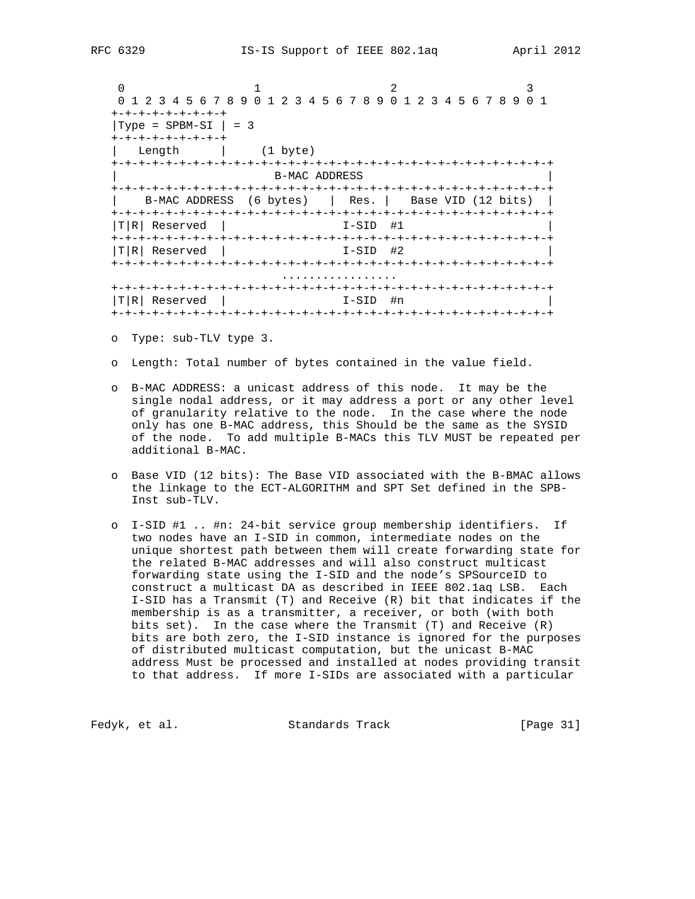0  $1$  2 3 0 1 2 3 4 5 6 7 8 9 0 1 2 3 4 5 6 7 8 9 0 1 2 3 4 5 6 7 8 9 0 1 +-+-+-+-+-+-+-+-+  $|Type = SPBM-SI | = 3$  +-+-+-+-+-+-+-+-+ | Length | (1 byte) +-+-+-+-+-+-+-+-+-+-+-+-+-+-+-+-+-+-+-+-+-+-+-+-+-+-+-+-+-+-+-+-+ B-MAC ADDRESS +-+-+-+-+-+-+-+-+-+-+-+-+-+-+-+-+-+-+-+-+-+-+-+-+-+-+-+-+-+-+-+-+ | B-MAC ADDRESS (6 bytes) | Res. | Base VID (12 bits) | +-+-+-+-+-+-+-+-+-+-+-+-+-+-+-+-+-+-+-+-+-+-+-+-+-+-+-+-+-+-+-+-+  $|T|R|$  Reserved  $|$  I-SID #1 +-+-+-+-+-+-+-+-+-+-+-+-+-+-+-+-+-+-+-+-+-+-+-+-+-+-+-+-+-+-+-+-+  $I-SID$  #2 +-+-+-+-+-+-+-+-+-+-+-+-+-+-+-+-+-+-+-+-+-+-+-+-+-+-+-+-+-+-+-+-+ ................. +-+-+-+-+-+-+-+-+-+-+-+-+-+-+-+-+-+-+-+-+-+-+-+-+-+-+-+-+-+-+-+-+  $|T|R|$  Reserved  $|$  I-SID #n +-+-+-+-+-+-+-+-+-+-+-+-+-+-+-+-+-+-+-+-+-+-+-+-+-+-+-+-+-+-+-+-+

- o Type: sub-TLV type 3.
- o Length: Total number of bytes contained in the value field.
- o B-MAC ADDRESS: a unicast address of this node. It may be the single nodal address, or it may address a port or any other level of granularity relative to the node. In the case where the node only has one B-MAC address, this Should be the same as the SYSID of the node. To add multiple B-MACs this TLV MUST be repeated per additional B-MAC.
- o Base VID (12 bits): The Base VID associated with the B-BMAC allows the linkage to the ECT-ALGORITHM and SPT Set defined in the SPB- Inst sub-TLV.
- o I-SID #1 .. #n: 24-bit service group membership identifiers. If two nodes have an I-SID in common, intermediate nodes on the unique shortest path between them will create forwarding state for the related B-MAC addresses and will also construct multicast forwarding state using the I-SID and the node's SPSourceID to construct a multicast DA as described in IEEE 802.1aq LSB. Each I-SID has a Transmit (T) and Receive (R) bit that indicates if the membership is as a transmitter, a receiver, or both (with both bits set). In the case where the Transmit (T) and Receive (R) bits are both zero, the I-SID instance is ignored for the purposes of distributed multicast computation, but the unicast B-MAC address Must be processed and installed at nodes providing transit to that address. If more I-SIDs are associated with a particular

Fedyk, et al. Standards Track [Page 31]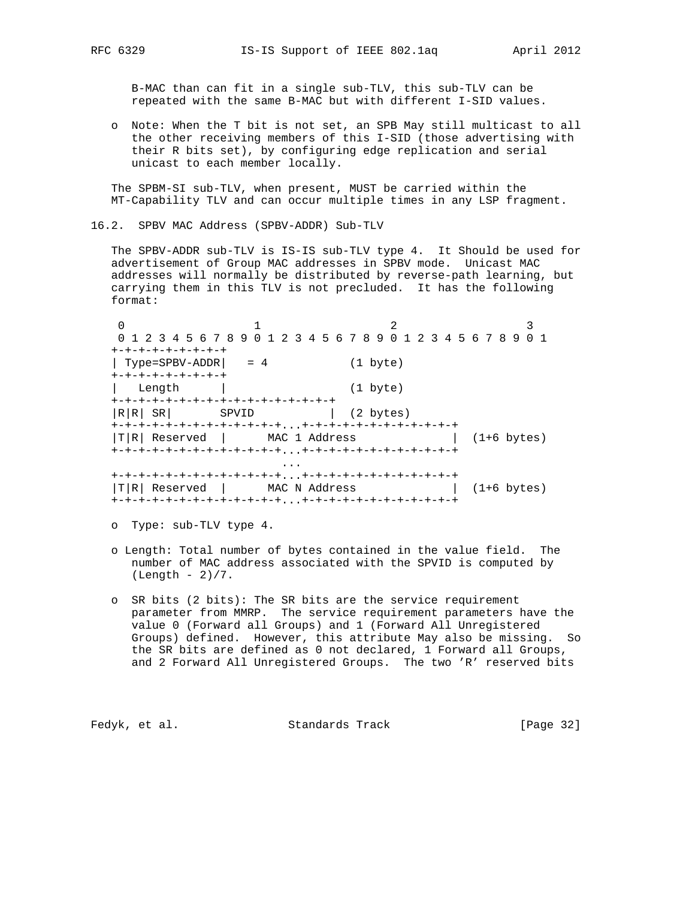B-MAC than can fit in a single sub-TLV, this sub-TLV can be repeated with the same B-MAC but with different I-SID values.

 o Note: When the T bit is not set, an SPB May still multicast to all the other receiving members of this I-SID (those advertising with their R bits set), by configuring edge replication and serial unicast to each member locally.

 The SPBM-SI sub-TLV, when present, MUST be carried within the MT-Capability TLV and can occur multiple times in any LSP fragment.

16.2. SPBV MAC Address (SPBV-ADDR) Sub-TLV

 The SPBV-ADDR sub-TLV is IS-IS sub-TLV type 4. It Should be used for advertisement of Group MAC addresses in SPBV mode. Unicast MAC addresses will normally be distributed by reverse-path learning, but carrying them in this TLV is not precluded. It has the following format:

0  $1$  2 3 0 1 2 3 4 5 6 7 8 9 0 1 2 3 4 5 6 7 8 9 0 1 2 3 4 5 6 7 8 9 0 1 +-+-+-+-+-+-+-+-+ | Type=SPBV-ADDR| = 4 (1 byte) +-+-+-+-+-+-+-+-+ | Length | (1 byte) +-+-+-+-+-+-+-+-+-+-+-+-+-+-+-+-+  $|R|R|$  SR| SPVID | (2 bytes) +-+-+-+-+-+-+-+-+-+-+-+-+...+-+-+-+-+-+-+-+-+-+-+-+  $|T|R|$  Reserved | MAC 1 Address | (1+6 bytes) +-+-+-+-+-+-+-+-+-+-+-+-+...+-+-+-+-+-+-+-+-+-+-+-+ ... +-+-+-+-+-+-+-+-+-+-+-+-+...+-+-+-+-+-+-+-+-+-+-+-+  $|T|R|$  Reserved | MAC N Address | (1+6 bytes) +-+-+-+-+-+-+-+-+-+-+-+-+...+-+-+-+-+-+-+-+-+-+-+-+

o Type: sub-TLV type 4.

- o Length: Total number of bytes contained in the value field. The number of MAC address associated with the SPVID is computed by  $(Length - 2)/7$ .
- o SR bits (2 bits): The SR bits are the service requirement parameter from MMRP. The service requirement parameters have the value 0 (Forward all Groups) and 1 (Forward All Unregistered Groups) defined. However, this attribute May also be missing. So the SR bits are defined as 0 not declared, 1 Forward all Groups, and 2 Forward All Unregistered Groups. The two 'R' reserved bits

Fedyk, et al. Standards Track [Page 32]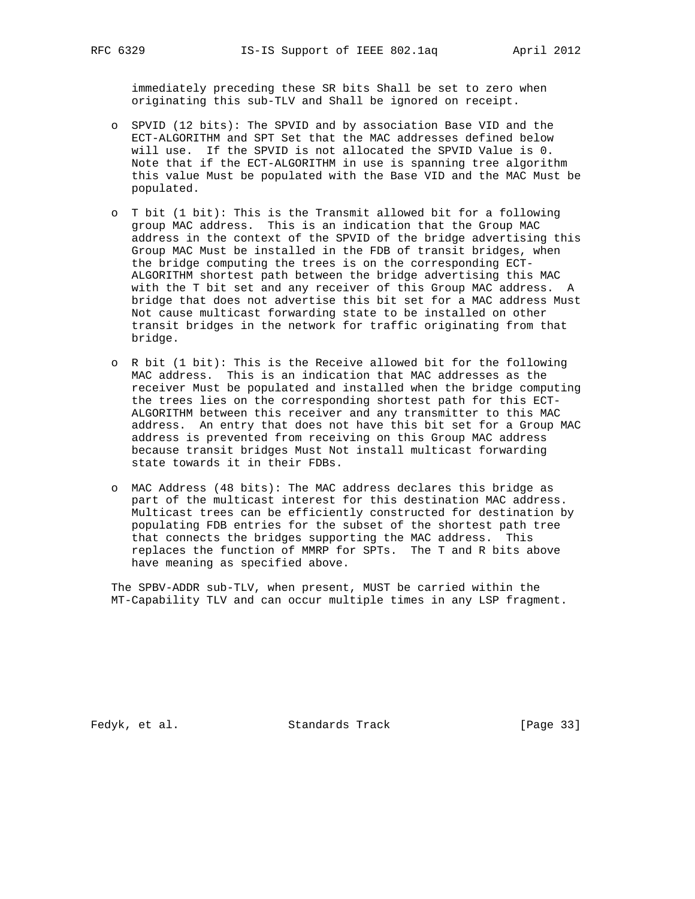immediately preceding these SR bits Shall be set to zero when originating this sub-TLV and Shall be ignored on receipt.

- o SPVID (12 bits): The SPVID and by association Base VID and the ECT-ALGORITHM and SPT Set that the MAC addresses defined below will use. If the SPVID is not allocated the SPVID Value is 0. Note that if the ECT-ALGORITHM in use is spanning tree algorithm this value Must be populated with the Base VID and the MAC Must be populated.
- o T bit (1 bit): This is the Transmit allowed bit for a following group MAC address. This is an indication that the Group MAC address in the context of the SPVID of the bridge advertising this Group MAC Must be installed in the FDB of transit bridges, when the bridge computing the trees is on the corresponding ECT- ALGORITHM shortest path between the bridge advertising this MAC with the T bit set and any receiver of this Group MAC address. A bridge that does not advertise this bit set for a MAC address Must Not cause multicast forwarding state to be installed on other transit bridges in the network for traffic originating from that bridge.
- o R bit (1 bit): This is the Receive allowed bit for the following MAC address. This is an indication that MAC addresses as the receiver Must be populated and installed when the bridge computing the trees lies on the corresponding shortest path for this ECT- ALGORITHM between this receiver and any transmitter to this MAC address. An entry that does not have this bit set for a Group MAC address is prevented from receiving on this Group MAC address because transit bridges Must Not install multicast forwarding state towards it in their FDBs.
- o MAC Address (48 bits): The MAC address declares this bridge as part of the multicast interest for this destination MAC address. Multicast trees can be efficiently constructed for destination by populating FDB entries for the subset of the shortest path tree that connects the bridges supporting the MAC address. This replaces the function of MMRP for SPTs. The T and R bits above have meaning as specified above.

 The SPBV-ADDR sub-TLV, when present, MUST be carried within the MT-Capability TLV and can occur multiple times in any LSP fragment.

Fedyk, et al. Standards Track [Page 33]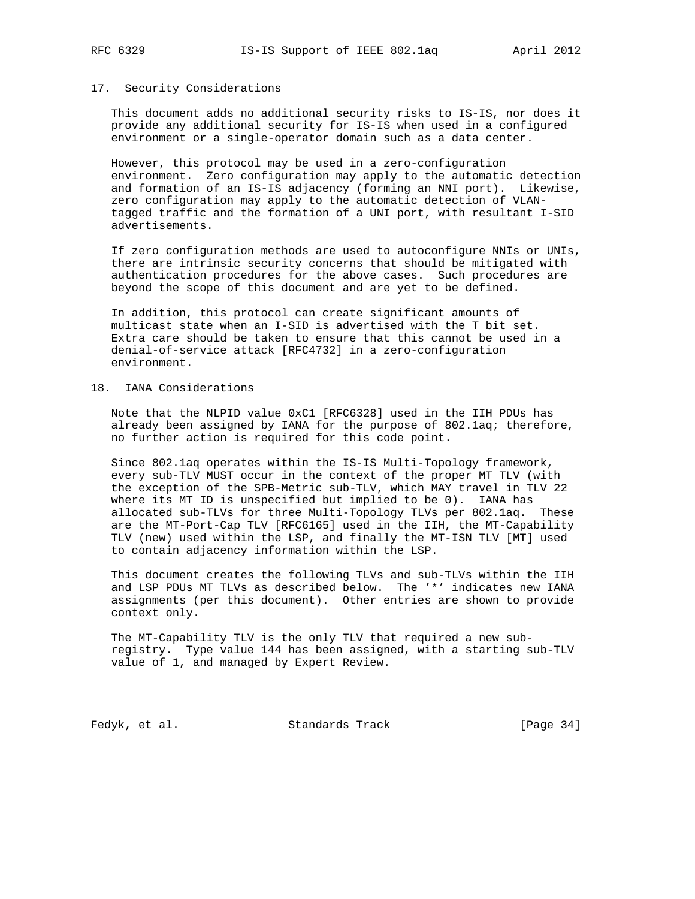## 17. Security Considerations

 This document adds no additional security risks to IS-IS, nor does it provide any additional security for IS-IS when used in a configured environment or a single-operator domain such as a data center.

 However, this protocol may be used in a zero-configuration environment. Zero configuration may apply to the automatic detection and formation of an IS-IS adjacency (forming an NNI port). Likewise, zero configuration may apply to the automatic detection of VLAN tagged traffic and the formation of a UNI port, with resultant I-SID advertisements.

 If zero configuration methods are used to autoconfigure NNIs or UNIs, there are intrinsic security concerns that should be mitigated with authentication procedures for the above cases. Such procedures are beyond the scope of this document and are yet to be defined.

 In addition, this protocol can create significant amounts of multicast state when an I-SID is advertised with the T bit set. Extra care should be taken to ensure that this cannot be used in a denial-of-service attack [RFC4732] in a zero-configuration environment.

## 18. IANA Considerations

 Note that the NLPID value 0xC1 [RFC6328] used in the IIH PDUs has already been assigned by IANA for the purpose of 802.1aq; therefore, no further action is required for this code point.

 Since 802.1aq operates within the IS-IS Multi-Topology framework, every sub-TLV MUST occur in the context of the proper MT TLV (with the exception of the SPB-Metric sub-TLV, which MAY travel in TLV 22 where its MT ID is unspecified but implied to be 0). IANA has allocated sub-TLVs for three Multi-Topology TLVs per 802.1aq. These are the MT-Port-Cap TLV [RFC6165] used in the IIH, the MT-Capability TLV (new) used within the LSP, and finally the MT-ISN TLV [MT] used to contain adjacency information within the LSP.

 This document creates the following TLVs and sub-TLVs within the IIH and LSP PDUs MT TLVs as described below. The '\*' indicates new IANA assignments (per this document). Other entries are shown to provide context only.

 The MT-Capability TLV is the only TLV that required a new sub registry. Type value 144 has been assigned, with a starting sub-TLV value of 1, and managed by Expert Review.

Fedyk, et al. Standards Track [Page 34]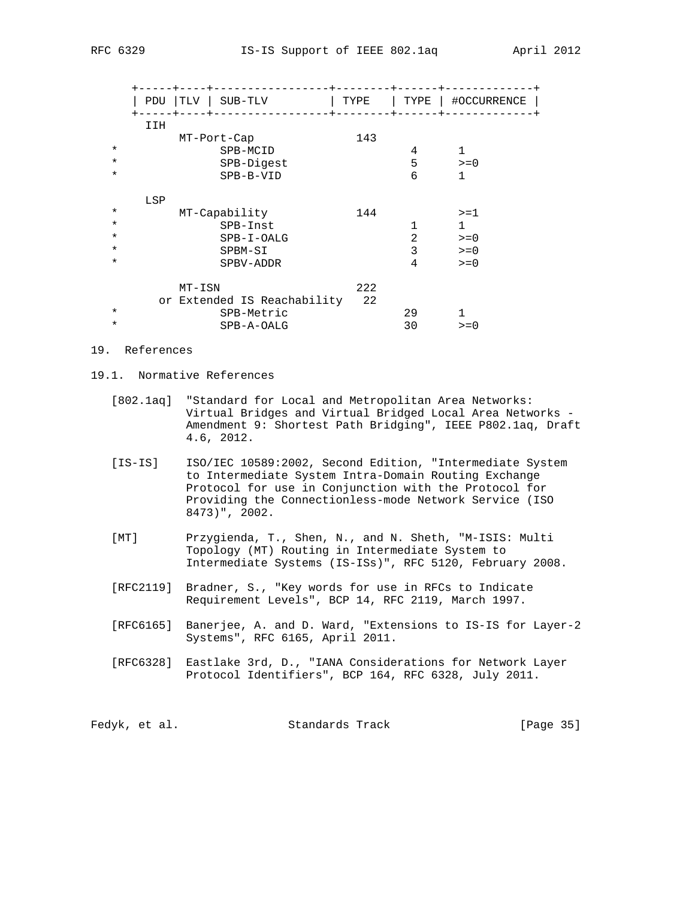|         | TLV<br><b>PDU</b><br>SUB-TLV | TYPE | TYPE | #OCCURRENCE  |
|---------|------------------------------|------|------|--------------|
|         | IIH<br>MT-Port-Cap           | 143  |      |              |
| $\star$ | SPB-MCID                     |      | 4    | $\mathbf{1}$ |
| $\star$ | SPB-Digest                   |      | 5    | $>= 0$       |
| $\star$ | SPB-B-VID                    |      | 6    | 1            |
|         | LSP                          |      |      |              |
| $\star$ | MT-Capability                | 144  |      | $>=1$        |
| $\star$ | SPB-Inst                     |      |      | 1            |
| $\star$ | SPB-I-OALG                   |      | 2    | $>= 0$       |
| $\star$ | SPBM-SI                      |      | 3    | $>= 0$       |
| $\star$ | SPBV-ADDR                    |      | 4    | $>= 0$       |
|         | $MT-ISN$                     | 222  |      |              |
|         | or Extended IS Reachability  | 22   |      |              |
| $\star$ | SPB-Metric                   |      | 29   |              |
| $\star$ | SPB-A-OALG                   |      | 30   | $>= 0$       |

- 19. References
- 19.1. Normative References
	- [802.1aq] "Standard for Local and Metropolitan Area Networks: Virtual Bridges and Virtual Bridged Local Area Networks - Amendment 9: Shortest Path Bridging", IEEE P802.1aq, Draft 4.6, 2012.
	- [IS-IS] ISO/IEC 10589:2002, Second Edition, "Intermediate System to Intermediate System Intra-Domain Routing Exchange Protocol for use in Conjunction with the Protocol for Providing the Connectionless-mode Network Service (ISO 8473)", 2002.
	- [MT] Przygienda, T., Shen, N., and N. Sheth, "M-ISIS: Multi Topology (MT) Routing in Intermediate System to Intermediate Systems (IS-ISs)", RFC 5120, February 2008.
	- [RFC2119] Bradner, S., "Key words for use in RFCs to Indicate Requirement Levels", BCP 14, RFC 2119, March 1997.
	- [RFC6165] Banerjee, A. and D. Ward, "Extensions to IS-IS for Layer-2 Systems", RFC 6165, April 2011.
	- [RFC6328] Eastlake 3rd, D., "IANA Considerations for Network Layer Protocol Identifiers", BCP 164, RFC 6328, July 2011.

| Fedyk, et al. |  | Standards Track | [Page 35] |  |
|---------------|--|-----------------|-----------|--|
|---------------|--|-----------------|-----------|--|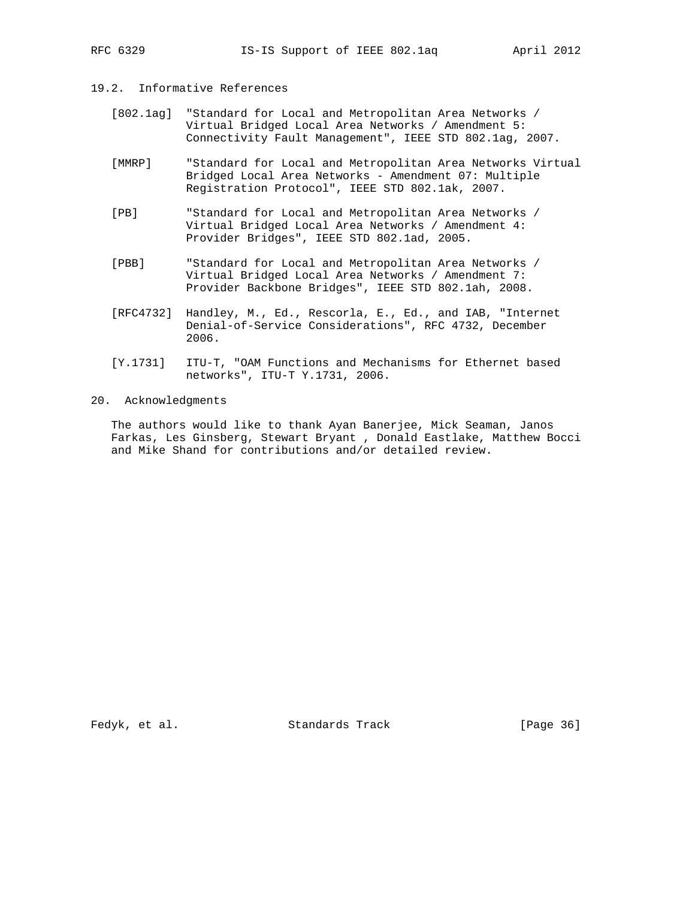#### 19.2. Informative References

- [802.1ag] "Standard for Local and Metropolitan Area Networks / Virtual Bridged Local Area Networks / Amendment 5: Connectivity Fault Management", IEEE STD 802.1ag, 2007.
- [MMRP] "Standard for Local and Metropolitan Area Networks Virtual Bridged Local Area Networks - Amendment 07: Multiple Registration Protocol", IEEE STD 802.1ak, 2007.
- [PB] "Standard for Local and Metropolitan Area Networks / Virtual Bridged Local Area Networks / Amendment 4: Provider Bridges", IEEE STD 802.1ad, 2005.
- [PBB] "Standard for Local and Metropolitan Area Networks / Virtual Bridged Local Area Networks / Amendment 7: Provider Backbone Bridges", IEEE STD 802.1ah, 2008.
- [RFC4732] Handley, M., Ed., Rescorla, E., Ed., and IAB, "Internet Denial-of-Service Considerations", RFC 4732, December 2006.
- [Y.1731] ITU-T, "OAM Functions and Mechanisms for Ethernet based networks", ITU-T Y.1731, 2006.

## 20. Acknowledgments

 The authors would like to thank Ayan Banerjee, Mick Seaman, Janos Farkas, Les Ginsberg, Stewart Bryant , Donald Eastlake, Matthew Bocci and Mike Shand for contributions and/or detailed review.

Fedyk, et al. Standards Track [Page 36]